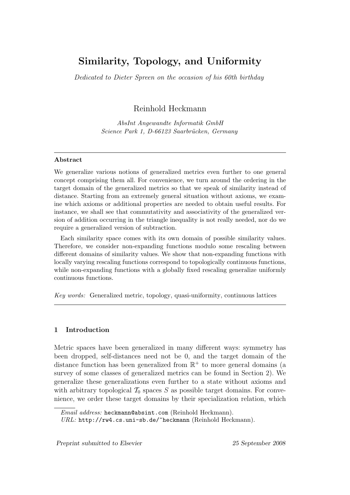# Similarity, Topology, and Uniformity

Dedicated to Dieter Spreen on the occasion of his 60th birthday

Reinhold Heckmann

AbsInt Angewandte Informatik GmbH Science Park 1, D-66123 Saarbrücken, Germany

## Abstract

We generalize various notions of generalized metrics even further to one general concept comprising them all. For convenience, we turn around the ordering in the target domain of the generalized metrics so that we speak of similarity instead of distance. Starting from an extremely general situation without axioms, we examine which axioms or additional properties are needed to obtain useful results. For instance, we shall see that commutativity and associativity of the generalized version of addition occurring in the triangle inequality is not really needed, nor do we require a generalized version of subtraction.

Each similarity space comes with its own domain of possible similarity values. Therefore, we consider non-expanding functions modulo some rescaling between different domains of similarity values. We show that non-expanding functions with locally varying rescaling functions correspond to topologically continuous functions, while non-expanding functions with a globally fixed rescaling generalize uniformly continuous functions.

Key words: Generalized metric, topology, quasi-uniformity, continuous lattices

## 1 Introduction

Metric spaces have been generalized in many different ways: symmetry has been dropped, self-distances need not be 0, and the target domain of the distance function has been generalized from  $\mathbb{R}^+$  to more general domains (a survey of some classes of generalized metrics can be found in Section 2). We generalize these generalizations even further to a state without axioms and with arbitrary topological  $\mathcal{T}_0$  spaces S as possible target domains. For convenience, we order these target domains by their specialization relation, which

Email address: heckmann@absint.com (Reinhold Heckmann).

URL: http://rw4.cs.uni-sb.de/~heckmann (Reinhold Heckmann).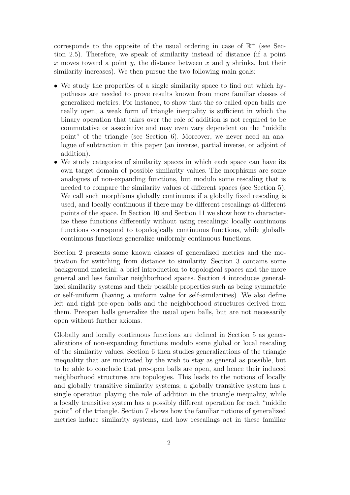corresponds to the opposite of the usual ordering in case of  $\mathbb{R}^+$  (see Section 2.5). Therefore, we speak of similarity instead of distance (if a point x moves toward a point y, the distance between x and y shrinks, but their similarity increases). We then pursue the two following main goals:

- We study the properties of a single similarity space to find out which hypotheses are needed to prove results known from more familiar classes of generalized metrics. For instance, to show that the so-called open balls are really open, a weak form of triangle inequality is sufficient in which the binary operation that takes over the role of addition is not required to be commutative or associative and may even vary dependent on the "middle point" of the triangle (see Section 6). Moreover, we never need an analogue of subtraction in this paper (an inverse, partial inverse, or adjoint of addition).
- We study categories of similarity spaces in which each space can have its own target domain of possible similarity values. The morphisms are some analogues of non-expanding functions, but modulo some rescaling that is needed to compare the similarity values of different spaces (see Section 5). We call such morphisms globally continuous if a globally fixed rescaling is used, and locally continuous if there may be different rescalings at different points of the space. In Section 10 and Section 11 we show how to characterize these functions differently without using rescalings: locally continuous functions correspond to topologically continuous functions, while globally continuous functions generalize uniformly continuous functions.

Section 2 presents some known classes of generalized metrics and the motivation for switching from distance to similarity. Section 3 contains some background material: a brief introduction to topological spaces and the more general and less familiar neighborhood spaces. Section 4 introduces generalized similarity systems and their possible properties such as being symmetric or self-uniform (having a uniform value for self-similarities). We also define left and right pre-open balls and the neighborhood structures derived from them. Preopen balls generalize the usual open balls, but are not necessarily open without further axioms.

Globally and locally continuous functions are defined in Section 5 as generalizations of non-expanding functions modulo some global or local rescaling of the similarity values. Section 6 then studies generalizations of the triangle inequality that are motivated by the wish to stay as general as possible, but to be able to conclude that pre-open balls are open, and hence their induced neighborhood structures are topologies. This leads to the notions of locally and globally transitive similarity systems; a globally transitive system has a single operation playing the role of addition in the triangle inequality, while a locally transitive system has a possibly different operation for each "middle point" of the triangle. Section 7 shows how the familiar notions of generalized metrics induce similarity systems, and how rescalings act in these familiar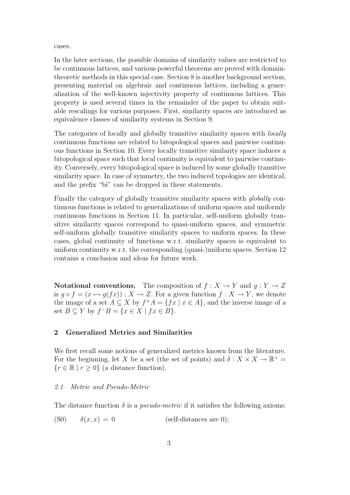cases.

In the later sections, the possible domains of similarity values are restricted to be continuous lattices, and various powerful theorems are proved with domaintheoretic methods in this special case. Section 8 is another background section, presenting material on algebraic and continuous lattices, including a generalization of the well-known injectivity property of continuous lattices. This property is used several times in the remainder of the paper to obtain suitable rescalings for various purposes. First, similarity spaces are introduced as equivalence classes of similarity systems in Section 9.

The categories of locally and globally transitive similarity spaces with locally continuous functions are related to bitopological spaces and pairwise continuous functions in Section 10. Every locally transitive similarity space induces a bitopological space such that local continuity is equivalent to pairwise continuity. Conversely, every bitopological space is induced by some globally transitive similarity space. In case of symmetry, the two induced topologies are identical, and the prefix "bi" can be dropped in these statements.

Finally the category of globally transitive similarity spaces with globally continuous functions is related to generalizations of uniform spaces and uniformly continuous functions in Section 11. In particular, self-uniform globally transitive similarity spaces correspond to quasi-uniform spaces, and symmetric self-uniform globally transitive similarity spaces to uniform spaces. In these cases, global continuity of functions w.r.t. similarity spaces is equivalent to uniform continuity w.r.t. the corresponding (quasi-)uniform spaces. Section 12 contains a conclusion and ideas for future work.

Notational conventions. The composition of  $f : X \to Y$  and  $g : Y \to Z$ is  $g \circ f = (x \mapsto g(fx)) : X \to Z$ . For a given function  $f : X \to Y$ , we denote the image of a set  $A \subseteq X$  by  $f^+A = \{fx \mid x \in A\}$ , and the inverse image of a set  $B \subseteq Y$  by  $f^{-}B = \{x \in X \mid fx \in B\}.$ 

## 2 Generalized Metrics and Similarities

We first recall some notions of generalized metrics known from the literature. For the beginning, let X be a set (the set of points) and  $\delta: X \times X \to \mathbb{R}^+$  ${r \in \mathbb{R} \mid r \geq 0}$  (a distance function).

#### 2.1 Metric and Pseudo-Metric

The distance function  $\delta$  is a *pseudo-metric* if it satisfies the following axioms:

(S0)  $\delta(x, x) = 0$  (self-distances are 0);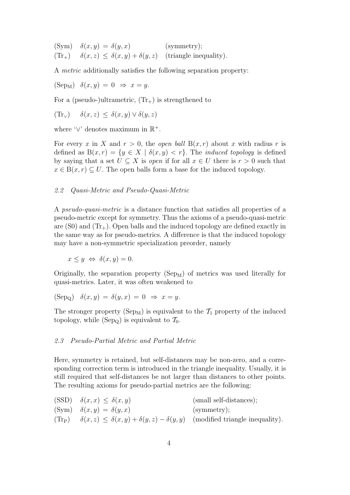(Sym)  $\delta(x, y) = \delta(y, x)$  (symmetry);  $(Tr_+)$   $\delta(x, z) \leq \delta(x, y) + \delta(y, z)$  (triangle inequality).

A metric additionally satisfies the following separation property:

 $(\text{Sep}_M) \quad \delta(x,y) = 0 \Rightarrow x = y.$ 

For a (pseudo-)ultrametric,  $(\text{Tr}_{+})$  is strengthened to

$$
(\text{Tr}_{\vee}) \quad \delta(x, z) \le \delta(x, y) \vee \delta(y, z)
$$

where ' $\vee$ ' denotes maximum in  $\mathbb{R}^+$ .

For every x in X and  $r > 0$ , the *open ball*  $B(x, r)$  about x with radius r is defined as  $B(x, r) = \{y \in X \mid \delta(x, y) < r\}$ . The *induced topology* is defined by saying that a set  $U \subseteq X$  is *open* if for all  $x \in U$  there is  $r > 0$  such that  $x \in B(x, r) \subseteq U$ . The open balls form a base for the induced topology.

## 2.2 Quasi-Metric and Pseudo-Quasi-Metric

A pseudo-quasi-metric is a distance function that satisfies all properties of a pseudo-metric except for symmetry. Thus the axioms of a pseudo-quasi-metric are  $(S0)$  and  $(\text{Tr}_{+})$ . Open balls and the induced topology are defined exactly in the same way as for pseudo-metrics. A difference is that the induced topology may have a non-symmetric specialization preorder, namely

$$
x \le y \iff \delta(x, y) = 0.
$$

Originally, the separation property  $(Sep_M)$  of metrics was used literally for quasi-metrics. Later, it was often weakened to

$$
(\text{Sep}_Q) \quad \delta(x,y) = \delta(y,x) = 0 \Rightarrow x = y.
$$

The stronger property (Sep<sub>M</sub>) is equivalent to the  $\mathcal{T}_1$  property of the induced topology, while (Sep<sub>Q</sub>) is equivalent to  $\mathcal{T}_0$ .

#### 2.3 Pseudo-Partial Metric and Partial Metric

Here, symmetry is retained, but self-distances may be non-zero, and a corresponding correction term is introduced in the triangle inequality. Usually, it is still required that self-distances be not larger than distances to other points. The resulting axioms for pseudo-partial metrics are the following:

| $(SSD)$ $\delta(x, x) \leq \delta(x, y)$                                                                                | (small self-distances); |
|-------------------------------------------------------------------------------------------------------------------------|-------------------------|
| $(\text{Sym})$ $\delta(x, y) = \delta(y, x)$                                                                            | (symmetry);             |
| $(\text{Tr}_{\text{P}})$ $\delta(x, z) \leq \delta(x, y) + \delta(y, z) - \delta(y, y)$ (modified triangle inequality). |                         |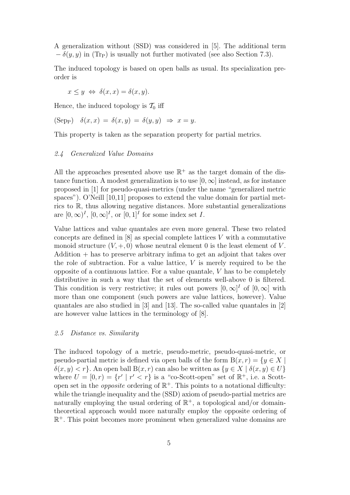A generalization without (SSD) was considered in [5]. The additional term  $-\delta(y, y)$  in (Tr<sub>P</sub>) is usually not further motivated (see also Section 7.3).

The induced topology is based on open balls as usual. Its specialization preorder is

$$
x \le y \iff \delta(x, x) = \delta(x, y).
$$

Hence, the induced topology is  $\mathcal{T}_0$  iff

$$
(\text{Sep}) \quad \delta(x,x) = \delta(x,y) = \delta(y,y) \Rightarrow x = y.
$$

This property is taken as the separation property for partial metrics.

## 2.4 Generalized Value Domains

All the approaches presented above use  $\mathbb{R}^+$  as the target domain of the distance function. A modest generalization is to use  $[0, \infty]$  instead, as for instance proposed in [1] for pseudo-quasi-metrics (under the name "generalized metric spaces"). O'Neill [10,11] proposes to extend the value domain for partial metrics to R, thus allowing negative distances. More substantial generalizations are  $[0, \infty)^I$ ,  $[0, \infty]^I$ , or  $[0, 1]^I$  for some index set I.

Value lattices and value quantales are even more general. These two related concepts are defined in  $[8]$  as special complete lattices V with a commutative monoid structure  $(V, +, 0)$  whose neutral element 0 is the least element of V.  $Addition + has to preserve arbitrary infima to get an adjoint that takes over$ the role of subtraction. For a value lattice,  $V$  is merely required to be the opposite of a continuous lattice. For a value quantale,  $V$  has to be completely distributive in such a way that the set of elements well-above 0 is filtered. This condition is very restrictive; it rules out powers  $[0,\infty]^I$  of  $[0,\infty]$  with more than one component (such powers are value lattices, however). Value quantales are also studied in [3] and [13]. The so-called value quantales in [2] are however value lattices in the terminology of [8].

## 2.5 Distance vs. Similarity

The induced topology of a metric, pseudo-metric, pseudo-quasi-metric, or pseudo-partial metric is defined via open balls of the form  $B(x, r) = \{y \in X \mid$  $\delta(x, y) < r$ . An open ball  $B(x, r)$  can also be written as  $\{y \in X \mid \delta(x, y) \in U\}$ where  $U = [0, r) = \{r' \mid r' < r\}$  is a "co-Scott-open" set of  $\mathbb{R}^+$ , i.e. a Scottopen set in the *opposite* ordering of  $\mathbb{R}^+$ . This points to a notational difficulty: while the triangle inequality and the (SSD) axiom of pseudo-partial metrics are naturally employing the usual ordering of  $\mathbb{R}^+$ , a topological and/or domaintheoretical approach would more naturally employ the opposite ordering of R <sup>+</sup>. This point becomes more prominent when generalized value domains are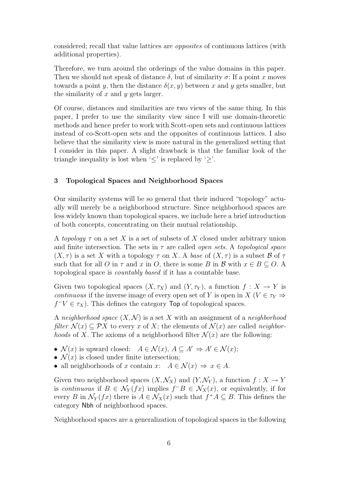considered; recall that value lattices are opposites of continuous lattices (with additional properties).

Therefore, we turn around the orderings of the value domains in this paper. Then we should not speak of distance  $\delta$ , but of similarity  $\sigma$ : If a point x moves towards a point y, then the distance  $\delta(x, y)$  between x and y gets smaller, but the similarity of  $x$  and  $y$  gets larger.

Of course, distances and similarities are two views of the same thing. In this paper, I prefer to use the similarity view since I will use domain-theoretic methods and hence prefer to work with Scott-open sets and continuous lattices instead of co-Scott-open sets and the opposites of continuous lattices. I also believe that the similarity view is more natural in the generalized setting that I consider in this paper. A slight drawback is that the familiar look of the triangle inequality is lost when  $\leq$  is replaced by  $\geq$ .

## 3 Topological Spaces and Neighborhood Spaces

Our similarity systems will be so general that their induced "topology" actually will merely be a neighborhood structure. Since neighborhood spaces are less widely known than topological spaces, we include here a brief introduction of both concepts, concentrating on their mutual relationship.

A topology  $\tau$  on a set X is a set of subsets of X closed under arbitrary union and finite intersection. The sets in  $\tau$  are called *open sets.* A *topological space*  $(X, \tau)$  is a set X with a topology  $\tau$  on X. A base of  $(X, \tau)$  is a subset B of  $\tau$ such that for all O in  $\tau$  and x in O, there is some B in B with  $x \in B \subseteq O$ . A topological space is countably based if it has a countable base.

Given two topological spaces  $(X, \tau_X)$  and  $(Y, \tau_Y)$ , a function  $f : X \to Y$  is continuous if the inverse image of every open set of Y is open in  $X(V \in \tau_Y \Rightarrow$  $f^-V \in \tau_X$ ). This defines the category Top of topological spaces.

A neighborhood space  $(X, \mathcal{N})$  is a set X with an assignment of a neighborhood filter  $\mathcal{N}(x) \subset \mathcal{P}X$  to every x of X; the elements of  $\mathcal{N}(x)$  are called neighbor*hoods* of X. The axioms of a neighborhood filter  $\mathcal{N}(x)$  are the following:

- $\mathcal{N}(x)$  is upward closed:  $A \in \mathcal{N}(x)$ ,  $A \subseteq A' \Rightarrow A' \in \mathcal{N}(x)$ ;
- $\mathcal{N}(x)$  is closed under finite intersection;
- all neighborhoods of x contain x:  $A \in \mathcal{N}(x) \Rightarrow x \in A$ .

Given two neighborhood spaces  $(X, \mathcal{N}_X)$  and  $(Y, \mathcal{N}_Y)$ , a function  $f : X \to Y$ is continuous if  $B \in \mathcal{N}_Y(fx)$  implies  $f^-B \in \mathcal{N}_X(x)$ , or equivalently, if for every B in  $\mathcal{N}_Y(fx)$  there is  $A \in \mathcal{N}_X(x)$  such that  $f^+A \subseteq B$ . This defines the category Nbh of neighborhood spaces.

Neighborhood spaces are a generalization of topological spaces in the following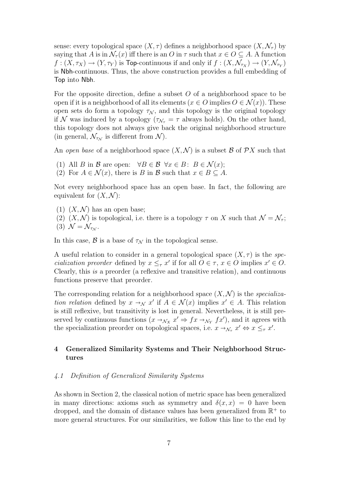sense: every topological space  $(X, \tau)$  defines a neighborhood space  $(X, \mathcal{N}_{\tau})$  by saying that A is in  $\mathcal{N}_{\tau}(x)$  iff there is an O in  $\tau$  such that  $x \in O \subseteq A$ . A function  $f:(X,\tau_X)\to (Y,\tau_Y)$  is Top-continuous if and only if  $f:(X,\mathcal{N}_{\tau_X})\to (Y,\mathcal{N}_{\tau_Y})$ is Nbh-continuous. Thus, the above construction provides a full embedding of Top into Nbh.

For the opposite direction, define a subset  $O$  of a neighborhood space to be open if it is a neighborhood of all its elements ( $x \in O$  implies  $O \in \mathcal{N}(x)$ ). These open sets do form a topology  $\tau_N$ , and this topology is the original topology if N was induced by a topology ( $\tau_{N_{\tau}} = \tau$  always holds). On the other hand, this topology does not always give back the original neighborhood structure (in general,  $\mathcal{N}_{\tau_{\mathcal{N}}}$  is different from  $\mathcal{N}$ ).

An open base of a neighborhood space  $(X, \mathcal{N})$  is a subset  $\mathcal{B}$  of  $\mathcal{P}X$  such that

- (1) All B in B are open:  $\forall B \in \mathcal{B} \ \forall x \in B: B \in \mathcal{N}(x);$
- (2) For  $A \in \mathcal{N}(x)$ , there is B in B such that  $x \in B \subseteq A$ .

Not every neighborhood space has an open base. In fact, the following are equivalent for  $(X, \mathcal{N})$ :

- (1)  $(X, \mathcal{N})$  has an open base:
- (2)  $(X, \mathcal{N})$  is topological, i.e. there is a topology  $\tau$  on X such that  $\mathcal{N} = \mathcal{N}_{\tau}$ ;
- (3)  $\mathcal{N} = \mathcal{N}_{\tau_{\mathcal{N}}}$ .

In this case,  $\beta$  is a base of  $\tau_N$  in the topological sense.

A useful relation to consider in a general topological space  $(X, \tau)$  is the specialization preorder defined by  $x \leq_\tau x'$  if for all  $O \in \tau$ ,  $x \in O$  implies  $x' \in O$ . Clearly, this is a preorder (a reflexive and transitive relation), and continuous functions preserve that preorder.

The corresponding relation for a neighborhood space  $(X, \mathcal{N})$  is the specialization relation defined by  $x \to_N x'$  if  $A \in \mathcal{N}(x)$  implies  $x' \in A$ . This relation<br>is still reflexive but transitivity is lest in general. Nevertheless, it is still prois still reflexive, but transitivity is lost in general. Nevertheless, it is still preserved by continuous functions  $(x \to_{\mathcal{N}_X} x' \Rightarrow fx \to_{\mathcal{N}_Y} fx')$ , and it agrees with the specialization preorder on topological spaces, i.e.  $x \to_{\mathcal{N}_{\tau}} x' \Leftrightarrow x \leq_{\tau} x'$ .

# 4 Generalized Similarity Systems and Their Neighborhood Structures

#### 4.1 Definition of Generalized Similarity Systems

As shown in Section 2, the classical notion of metric space has been generalized in many directions: axioms such as symmetry and  $\delta(x, x) = 0$  have been dropped, and the domain of distance values has been generalized from  $\mathbb{R}^+$  to more general structures. For our similarities, we follow this line to the end by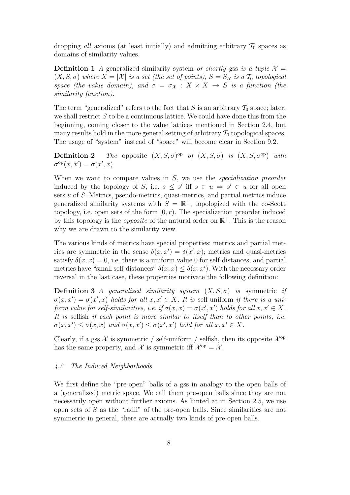dropping all axioms (at least initially) and admitting arbitrary  $\mathcal{T}_0$  spaces as domains of similarity values.

**Definition 1** A generalized similarity system or shortly gss is a tuple  $\mathcal{X} =$  $(X, S, \sigma)$  where  $X = |\mathcal{X}|$  is a set (the set of points),  $S = S_{\mathcal{X}}$  is a  $\mathcal{T}_0$  topological space (the value domain), and  $\sigma = \sigma_X : X \times X \to S$  is a function (the similarity function).

The term "generalized" refers to the fact that S is an arbitrary  $\mathcal{T}_0$  space; later, we shall restrict  $S$  to be a continuous lattice. We could have done this from the beginning, coming closer to the value lattices mentioned in Section 2.4, but many results hold in the more general setting of arbitrary  $\mathcal{T}_0$  topological spaces. The usage of "system" instead of "space" will become clear in Section 9.2.

**Definition 2** The opposite  $(X, S, \sigma)$ <sup>op</sup> of  $(X, S, \sigma)$  is  $(X, S, \sigma^{\text{op}})$  with  $\sigma^{\text{op}}(x, x') = \sigma(x', x).$ 

When we want to compare values in S, we use the *specialization preorder* induced by the topology of S, i.e.  $s \leq s'$  iff  $s \in u \Rightarrow s' \in u$  for all open sets u of S. Metrics, pseudo-metrics, quasi-metrics, and partial metrics induce generalized similarity systems with  $S = \mathbb{R}^+$ , topologized with the co-Scott topology, i.e. open sets of the form  $[0, r)$ . The specialization preorder induced by this topology is the *opposite* of the natural order on  $\mathbb{R}^+$ . This is the reason why we are drawn to the similarity view.

The various kinds of metrics have special properties: metrics and partial metrics are symmetric in the sense  $\delta(x, x') = \delta(x', x)$ ; metrics and quasi-metrics satisfy  $\delta(x, x) = 0$ , i.e. there is a uniform value 0 for self-distances, and partial metrics have "small self-distances"  $\delta(x, x) \leq \delta(x, x')$ . With the necessary order reversal in the last case, these properties motivate the following definition:

**Definition 3** A generalized similarity system  $(X, S, \sigma)$  is symmetric if  $\sigma(x,x') = \sigma(x',x)$  holds for all  $x, x' \in X$ . It is self-uniform if there is a uniform value for self-similarities, i.e. if  $\sigma(x,x) = \sigma(x',x')$  holds for all  $x, x' \in X$ . It is selfish if each point is more similar to itself than to other points, i.e.  $\sigma(x, x') \leq \sigma(x, x)$  and  $\sigma(x, x') \leq \sigma(x', x')$  hold for all  $x, x' \in X$ .

Clearly, if a gss  $\mathcal X$  is symmetric / self-uniform / selfish, then its opposite  $\mathcal X^{\text{op}}$ has the same property, and X is symmetric iff  $\mathcal{X}^{\text{op}} = \mathcal{X}$ .

#### 4.2 The Induced Neighborhoods

We first define the "pre-open" balls of a gss in analogy to the open balls of a (generalized) metric space. We call them pre-open balls since they are not necessarily open without further axioms. As hinted at in Section 2.5, we use open sets of S as the "radii" of the pre-open balls. Since similarities are not symmetric in general, there are actually two kinds of pre-open balls.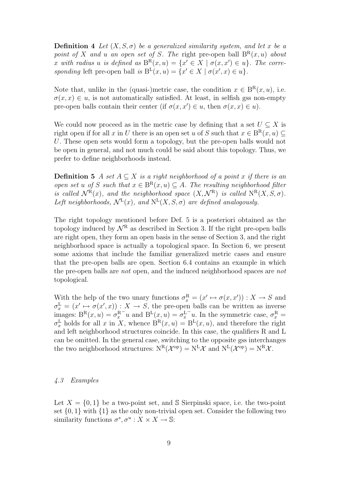**Definition 4** Let  $(X, S, \sigma)$  be a generalized similarity system, and let x be a point of X and u an open set of S. The right pre-open ball  $B^{R}(x, u)$  about x with radius u is defined as  $B^{R}(x, u) = \{x' \in X \mid \sigma(x, x') \in u\}$ . The corresponding left pre-open ball is  $B^{L}(x, u) = \{x' \in X \mid \sigma(x', x) \in u\}.$ 

Note that, unlike in the (quasi-)metric case, the condition  $x \in B^{R}(x, u)$ , i.e.  $\sigma(x, x) \in u$ , is not automatically satisfied. At least, in selfish gss non-empty pre-open balls contain their center (if  $\sigma(x, x') \in u$ , then  $\sigma(x, x) \in u$ ).

We could now proceed as in the metric case by defining that a set  $U \subseteq X$  is right open if for all x in U there is an open set u of S such that  $x \in B^{R}(x, u) \subseteq$ U. These open sets would form a topology, but the pre-open balls would not be open in general, and not much could be said about this topology. Thus, we prefer to define neighborhoods instead.

**Definition 5** A set  $A \subseteq X$  is a right neighborhood of a point x if there is an open set u of S such that  $x \in B^{R}(x, u) \subseteq A$ . The resulting neighborhood filter is called  $\mathcal{N}^R(x)$ , and the neighborhood space  $(X, \mathcal{N}^R)$  is called  $N^R(X, S, \sigma)$ . Left neighborhoods,  $\mathcal{N}^{\mathbb{L}}(x)$ , and  $\mathbb{N}^{\mathbb{L}}(X, S, \sigma)$  are defined analogously.

The right topology mentioned before Def. 5 is a posteriori obtained as the topology induced by  $\mathcal{N}^R$  as described in Section 3. If the right pre-open balls are right open, they form an open basis in the sense of Section 3, and the right neighborhood space is actually a topological space. In Section 6, we present some axioms that include the familiar generalized metric cases and ensure that the pre-open balls are open. Section 6.4 contains an example in which the pre-open balls are not open, and the induced neighborhood spaces are not topological.

With the help of the two unary functions  $\sigma_x^{\mathcal{R}} = (x' \mapsto \sigma(x, x')) : X \to S$  and  $\sigma_x^{\mathcal{L}} = (x' \mapsto \sigma(x', x)) : X \to S$ , the pre-open balls can be written as inverse images:  $B^{R}(x, u) = \sigma_x^{R}$  $\bar{u}$  and  $B^{L}(x, u) = \sigma_x^L$  $\bar{u}$ . In the symmetric case,  $\sigma_x^{\rm R} =$  $\sigma_x^{\text{L}}$  holds for all x in X, whence  $B^{\text{R}}(x, u) = B^{\text{L}}(x, u)$ , and therefore the right and left neighborhood structures coincide. In this case, the qualifiers R and L can be omitted. In the general case, switching to the opposite gss interchanges the two neighborhood structures:  $N^{R}(\mathcal{X}^{op}) = N^{L}\mathcal{X}$  and  $N^{L}(\mathcal{X}^{op}) = N^{R}\mathcal{X}$ .

## 4.3 Examples

Let  $X = \{0, 1\}$  be a two-point set, and S Sierpinski space, i.e. the two-point set  $\{0,1\}$  with  $\{1\}$  as the only non-trivial open set. Consider the following two similarity functions  $\sigma^s, \sigma^u : X \times X \to \mathbb{S}$ :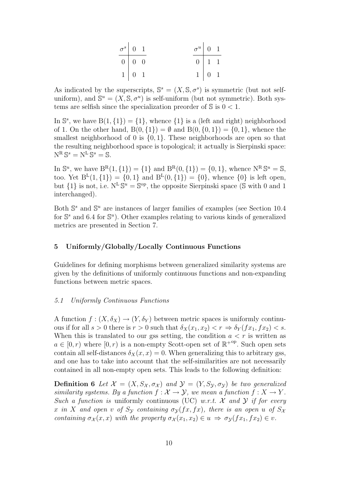| $\sigma^s$ 0 1 |                   |  | $\sigma^u$ 0 1 |                   |  |
|----------------|-------------------|--|----------------|-------------------|--|
|                | $0 \mid 0 \mid 0$ |  |                | $0 \mid 1 \mid 1$ |  |
|                | $1 \mid 0 \mid 1$ |  |                | $1 \mid 0 \mid 1$ |  |

As indicated by the superscripts,  $\mathbb{S}^s = (X, \mathbb{S}, \sigma^s)$  is symmetric (but not selfuniform), and  $\mathbb{S}^u = (X, \mathbb{S}, \sigma^u)$  is self-uniform (but not symmetric). Both systems are selfish since the specialization preorder of  $\Im$  is  $0 < 1$ .

In  $\mathbb{S}^s$ , we have  $B(1, \{1\}) = \{1\}$ , whence  $\{1\}$  is a (left and right) neighborhood of 1. On the other hand,  $B(0, \{1\}) = \emptyset$  and  $B(0, \{0, 1\}) = \{0, 1\}$ , whence the smallest neighborhood of 0 is  $\{0, 1\}$ . These neighborhoods are open so that the resulting neighborhood space is topological; it actually is Sierpinski space:  $N^{\mathcal{R}} \mathbb{S}^s = N^{\mathcal{L}} \mathbb{S}^s = \mathbb{S}.$ 

In  $\mathbb{S}^u$ , we have  $B^R(1, \{1\}) = \{1\}$  and  $B^R(0, \{1\}) = \{0, 1\}$ , whence  $N^R \mathbb{S}^u = \mathbb{S}$ , too. Yet  $B^{L}(1, \{1\}) = \{0, 1\}$  and  $B^{L}(0, \{1\}) = \{0\}$ , whence  $\{0\}$  is left open, but  $\{1\}$  is not, i.e.  $N^L \mathbb{S}^u = \mathbb{S}^{op}$ , the opposite Sierpinski space (S with 0 and 1 interchanged).

Both  $\mathbb{S}^s$  and  $\mathbb{S}^u$  are instances of larger families of examples (see Section 10.4) for  $\mathbb{S}^s$  and 6.4 for  $\mathbb{S}^u$ ). Other examples relating to various kinds of generalized metrics are presented in Section 7.

## 5 Uniformly/Globally/Locally Continuous Functions

Guidelines for defining morphisms between generalized similarity systems are given by the definitions of uniformly continuous functions and non-expanding functions between metric spaces.

## 5.1 Uniformly Continuous Functions

A function  $f: (X, \delta_X) \to (Y, \delta_Y)$  between metric spaces is uniformly continuous if for all  $s > 0$  there is  $r > 0$  such that  $\delta_X(x_1, x_2) < r \Rightarrow \delta_Y(f(x_1, fx_2) < s$ . When this is translated to our gss setting, the condition  $a < r$  is written as  $a \in [0, r)$  where  $[0, r)$  is a non-empty Scott-open set of  $\mathbb{R}^{+{\rm op}}$ . Such open sets contain all self-distances  $\delta_X(x, x) = 0$ . When generalizing this to arbitrary gss, and one has to take into account that the self-similarities are not necessarily contained in all non-empty open sets. This leads to the following definition:

**Definition 6** Let  $\mathcal{X} = (X, S_{\mathcal{X}}, \sigma_{\mathcal{X}})$  and  $\mathcal{Y} = (Y, S_{\mathcal{Y}}, \sigma_{\mathcal{Y}})$  be two generalized similarity systems. By a function  $f: \mathcal{X} \to \mathcal{Y}$ , we mean a function  $f: X \to Y$ . Such a function is uniformly continuous (UC) w.r.t. X and Y if for every x in X and open v of  $S_{\mathcal{Y}}$  containing  $\sigma_{\mathcal{Y}}(fx, fx)$ , there is an open u of  $S_{\mathcal{X}}$ containing  $\sigma_{\mathcal{X}}(x, x)$  with the property  $\sigma_{\mathcal{X}}(x_1, x_2) \in u \Rightarrow \sigma_{\mathcal{Y}}(fx_1, fx_2) \in v$ .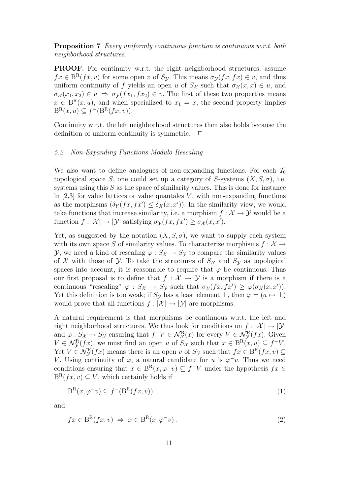Proposition 7 Every uniformly continuous function is continuous w.r.t. both neighborhood structures.

PROOF. For continuity w.r.t. the right neighborhood structures, assume  $fx \in B^{R}(fx, v)$  for some open v of  $S_{\mathcal{Y}}$ . This means  $\sigma_{\mathcal{Y}}(fx, fx) \in v$ , and thus uniform continuity of f yields an open u of  $S_{\mathcal{X}}$  such that  $\sigma_{\mathcal{X}}(x, x) \in u$ , and  $\sigma_{\mathcal{X}}(x_1, x_2) \in u \Rightarrow \sigma_{\mathcal{Y}}(fx_1, fx_2) \in v$ . The first of these two properties means  $x \in B^{R}(x, u)$ , and when specialized to  $x_1 = x$ , the second property implies  $B^{R}(x, u) \subseteq f^{-}(B^{R}(fx, v)).$ 

Continuity w.r.t. the left neighborhood structures then also holds because the definition of uniform continuity is symmetric.  $\Box$ 

## 5.2 Non-Expanding Functions Modulo Rescaling

We also want to define analogues of non-expanding functions. For each  $\mathcal{T}_0$ topological space S, one could set up a category of S-systems  $(X, S, \sigma)$ , i.e. systems using this S as the space of similarity values. This is done for instance in  $[2,3]$  for value lattices or value quantales V, with non-expanding functions as the morphisms  $(\delta_Y(fx, fx') \leq \delta_X(x, x'))$ . In the similarity view, we would take functions that increase similarity, i.e. a morphism  $f: \mathcal{X} \to \mathcal{Y}$  would be a function  $f: |\mathcal{X}| \to |\mathcal{Y}|$  satisfying  $\sigma_{\mathcal{Y}}(fx, fx') \geq \sigma_{\mathcal{X}}(x, x')$ .

Yet, as suggested by the notation  $(X, S, \sigma)$ , we want to supply each system with its own space S of similarity values. To characterize morphisms  $f: \mathcal{X} \rightarrow$  $\mathcal{Y}$ , we need a kind of rescaling  $\varphi : S_{\mathcal{X}} \to S_{\mathcal{Y}}$  to compare the similarity values of X with those of Y. To take the structures of  $S_{\mathcal{X}}$  and  $S_{\mathcal{Y}}$  as topological spaces into account, it is reasonable to require that  $\varphi$  be continuous. Thus our first proposal is to define that  $f : \mathcal{X} \to \mathcal{Y}$  is a morphism if there is a continuous "rescaling"  $\varphi : S_{\mathcal{X}} \to S_{\mathcal{Y}}$  such that  $\sigma_{\mathcal{Y}}(fx, fx') \geq \varphi(\sigma_{\mathcal{X}}(x, x')).$ Yet this definition is too weak; if  $S_y$  has a least element  $\bot$ , then  $\varphi = (a \mapsto \bot)$ would prove that all functions  $f : |\mathcal{X}| \to |\mathcal{Y}|$  are morphisms.

A natural requirement is that morphisms be continuous w.r.t. the left and right neighborhood structures. We thus look for conditions on  $f : |\mathcal{X}| \to |\mathcal{Y}|$ and  $\varphi: S_{\mathcal{X}} \to S_{\mathcal{Y}}$  ensuring that  $f^{-}V \in \mathcal{N}_{\mathcal{X}}^{\mathcal{R}}(x)$  for every  $V \in \mathcal{N}_{\mathcal{Y}}^{\mathcal{R}}(fx)$ . Given  $V \in \mathcal{N}_{\mathcal{Y}}^{\mathcal{R}}(fx)$ , we must find an open u of  $S_{\mathcal{X}}$  such that  $x \in B^{\mathcal{R}}(x, u) \subseteq f^{-}V$ . Yet  $V \in \mathcal{N}_{\mathcal{Y}}^{\mathcal{R}}(fx)$  means there is an open v of  $S_{\mathcal{Y}}$  such that  $fx \in B^{\mathcal{R}}(fx,v) \subseteq$ V. Using continuity of  $\varphi$ , a natural candidate for u is  $\varphi$ <sup>-</sup>v. Thus we need conditions ensuring that  $x \in B^{R}(x, \varphi^{-}v) \subseteq f^{-}V$  under the hypothesis  $fx \in$  $B^{R}(fx, v) \subseteq V$ , which certainly holds if

$$
B^{R}(x, \varphi^{-}v) \subseteq f^{-}(B^{R}(fx, v))
$$
\n<sup>(1)</sup>

and

$$
fx \in B^{R}(fx, v) \Rightarrow x \in B^{R}(x, \varphi^{-}v).
$$
\n<sup>(2)</sup>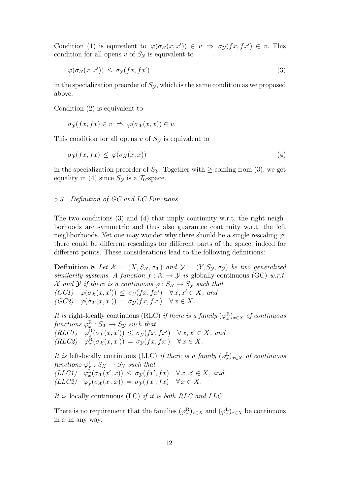Condition (1) is equivalent to  $\varphi(\sigma_{\mathcal{X}}(x,x')) \in v \Rightarrow \sigma_{\mathcal{Y}}(fx,fx') \in v$ . This condition for all opens v of  $S_{\mathcal{Y}}$  is equivalent to

$$
\varphi(\sigma_{\mathcal{X}}(x, x')) \le \sigma_{\mathcal{Y}}(fx, fx') \tag{3}
$$

in the specialization preorder of  $S_{\mathcal{Y}}$ , which is the same condition as we proposed above.

Condition (2) is equivalent to

$$
\sigma_{\mathcal{Y}}(fx, fx) \in v \implies \varphi(\sigma_{\mathcal{X}}(x, x)) \in v.
$$

This condition for all opens  $v$  of  $S_y$  is equivalent to

$$
\sigma_{\mathcal{Y}}(fx, fx) \leq \varphi(\sigma_{\mathcal{X}}(x, x)) \tag{4}
$$

in the specialization preorder of  $S_{\mathcal{Y}}$ . Together with  $\geq$  coming from (3), we get equality in (4) since  $S_{\mathcal{Y}}$  is a  $\mathcal{T}_0$ -space.

# 5.3 Definition of GC and LC Functions

The two conditions  $(3)$  and  $(4)$  that imply continuity w.r.t. the right neighborhoods are symmetric and thus also guarantee continuity w.r.t. the left neighborhoods. Yet one may wonder why there should be a single rescaling  $\varphi$ ; there could be different rescalings for different parts of the space, indeed for different points. These considerations lead to the following definitions:

**Definition 8** Let  $\mathcal{X} = (X, S_{\mathcal{X}}, \sigma_{\mathcal{X}})$  and  $\mathcal{Y} = (Y, S_{\mathcal{Y}}, \sigma_{\mathcal{Y}})$  be two generalized similarity systems. A function  $f: \mathcal{X} \to \mathcal{Y}$  is globally continuous (GC) w.r.t. X and Y if there is a continuous  $\varphi: S_{\mathcal{X}} \to S_{\mathcal{Y}}$  such that  $(GC1)$   $\varphi(\sigma_{\mathcal{X}}(x,x')) \leq \sigma_{\mathcal{Y}}(fx,fx')$   $\forall x,x' \in X$ , and  $(GC2) \quad \varphi(\sigma_{\mathcal{X}}(x,x)) = \sigma_{\mathcal{Y}}(fx,fx) \quad \forall x \in X.$ 

It is right-locally continuous (RLC) if there is a family  $(\varphi_x^R)_{x \in X}$  of continuous functions  $\varphi_x^R : S_{\mathcal{X}} \to S_{\mathcal{Y}}$  such that  $(RLC1)$   $\varphi_x^{\mathbf{R}}(\sigma_{\mathcal{X}}(x, x')) \leq \sigma_{\mathcal{Y}}(fx, fx') \quad \forall x, x' \in X$ , and  $(RLC2)$   $\varphi_x^{\mathcal{R}}(\sigma_{\mathcal{X}}(x,x)) = \sigma_{\mathcal{Y}}(fx,fx)$   $\forall x \in X.$ 

It is left-locally continuous (LLC) if there is a family  $(\varphi_x^L)_{x\in X}$  of continuous functions  $\varphi_x^{\mathcal{L}} : S_{\mathcal{X}} \to S_{\mathcal{Y}}$  such that  $(LLC1)$   $\varphi_x^L(\sigma_X(x',x)) \leq \sigma_y(fx',fx)$   $\forall x, x' \in X$ , and  $(LLC2)$   $\varphi_x^{\mathbf{L}}(\sigma_\mathcal{X}(x,x)) = \sigma_\mathcal{Y}(fx,fx)$   $\forall x \in X.$ 

It is locally continuous (LC) if it is both RLC and LLC.

There is no requirement that the families  $(\varphi_x^R)_{x \in X}$  and  $(\varphi_x^L)_{x \in X}$  be continuous in  $x$  in any way.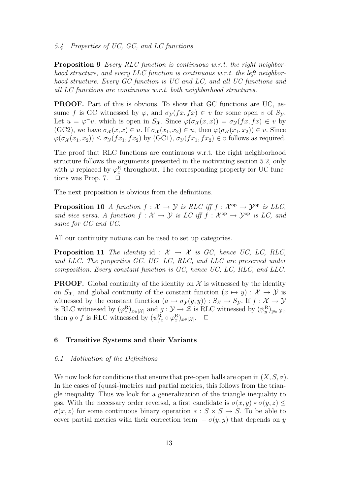## 5.4 Properties of UC, GC, and LC functions

**Proposition 9** Every RLC function is continuous w.r.t. the right neighborhood structure, and every LLC function is continuous w.r.t. the left neighborhood structure. Every GC function is UC and LC, and all UC functions and all LC functions are continuous w.r.t. both neighborhood structures.

PROOF. Part of this is obvious. To show that GC functions are UC, assume f is GC witnessed by  $\varphi$ , and  $\sigma_{\mathcal{V}}(fx, fx) \in v$  for some open v of  $S_{\mathcal{V}}$ . Let  $u = \varphi^{-}v$ , which is open in  $S_{\mathcal{X}}$ . Since  $\varphi(\sigma_{\mathcal{X}}(x, x)) = \sigma_{\mathcal{Y}}(fx, fx) \in v$  by (GC2), we have  $\sigma_{\mathcal{X}}(x,x) \in u$ . If  $\sigma_{\mathcal{X}}(x_1,x_2) \in u$ , then  $\varphi(\sigma_{\mathcal{X}}(x_1,x_2)) \in v$ . Since  $\varphi(\sigma_{\chi}(x_1, x_2)) \leq \sigma_{\chi}(fx_1, fx_2)$  by (GC1),  $\sigma_{\chi}(fx_1, fx_2) \in v$  follows as required.

The proof that RLC functions are continuous w.r.t. the right neighborhood structure follows the arguments presented in the motivating section 5.2, only with  $\varphi$  replaced by  $\varphi_x^R$  throughout. The corresponding property for UC functions was Prop. 7.  $\Box$ 

The next proposition is obvious from the definitions.

**Proposition 10** A function  $f: \mathcal{X} \to \mathcal{Y}$  is RLC iff  $f: \mathcal{X}^{\text{op}} \to \mathcal{Y}^{\text{op}}$  is LLC, and vice versa. A function  $f: \mathcal{X} \to \mathcal{Y}$  is LC iff  $f: \mathcal{X}^{\mathrm{op}} \to \mathcal{Y}^{\mathrm{op}}$  is LC, and same for GC and UC.

All our continuity notions can be used to set up categories.

**Proposition 11** The identity id :  $\mathcal{X} \rightarrow \mathcal{X}$  is GC, hence UC, LC, RLC, and LLC. The properties GC, UC, LC, RLC, and LLC are preserved under composition. Every constant function is GC, hence UC, LC, RLC, and LLC.

**PROOF.** Global continuity of the identity on  $\mathcal X$  is witnessed by the identity on  $S_{\mathcal{X}}$ , and global continuity of the constant function  $(x \mapsto y) : \mathcal{X} \to \mathcal{Y}$  is witnessed by the constant function  $(a \mapsto \sigma_y(y, y)) : S_{\mathcal{X}} \to S_{\mathcal{Y}}$ . If  $f : \mathcal{X} \to \mathcal{Y}$ is RLC witnessed by  $(\varphi_x^R)_{x \in |\mathcal{X}|}$  and  $g: \mathcal{Y} \to \mathcal{Z}$  is RLC witnessed by  $(\psi_y^R)_{y \in |\mathcal{Y}|}$ , then  $g \circ f$  is RLC witnessed by  $(\psi_{fx}^{\mathcal{R}} \circ \varphi_x^{\mathcal{R}})_{x \in |\mathcal{X}|}$ .  $\Box$ 

## 6 Transitive Systems and their Variants

## 6.1 Motivation of the Definitions

We now look for conditions that ensure that pre-open balls are open in  $(X, S, \sigma)$ . In the cases of (quasi-)metrics and partial metrics, this follows from the triangle inequality. Thus we look for a generalization of the triangle inequality to gss. With the necessary order reversal, a first candidate is  $\sigma(x, y) * \sigma(y, z)$  $\sigma(x, z)$  for some continuous binary operation  $\ast : S \times S \to S$ . To be able to cover partial metrics with their correction term  $-\sigma(y, y)$  that depends on y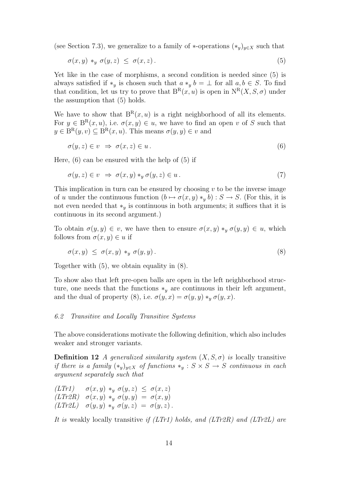(see Section 7.3), we generalize to a family of  $*$ -operations  $(*_y)_{y \in X}$  such that

$$
\sigma(x, y) *_{y} \sigma(y, z) \leq \sigma(x, z). \tag{5}
$$

Yet like in the case of morphisms, a second condition is needed since (5) is always satisfied if  $*_y$  is chosen such that  $a *_y b = \perp$  for all  $a, b \in S$ . To find that condition, let us try to prove that  $B^{R}(x, u)$  is open in  $N^{R}(X, S, \sigma)$  under the assumption that (5) holds.

We have to show that  $B^{R}(x, u)$  is a right neighborhood of all its elements. For  $y \in B^{R}(x, u)$ , i.e.  $\sigma(x, y) \in u$ , we have to find an open v of S such that  $y \in B^{R}(y, v) \subseteq B^{R}(x, u)$ . This means  $\sigma(y, y) \in v$  and

$$
\sigma(y, z) \in v \implies \sigma(x, z) \in u. \tag{6}
$$

Here,  $(6)$  can be ensured with the help of  $(5)$  if

$$
\sigma(y, z) \in v \implies \sigma(x, y) *_{y} \sigma(y, z) \in u. \tag{7}
$$

This implication in turn can be ensured by choosing  $v$  to be the inverse image of u under the continuous function  $(b \mapsto \sigma(x, y) *_{y} b) : S \to S$ . (For this, it is not even needed that  $*_y$  is continuous in both arguments; it suffices that it is continuous in its second argument.)

To obtain  $\sigma(y, y) \in v$ , we have then to ensure  $\sigma(x, y) *_{y} \sigma(y, y) \in u$ , which follows from  $\sigma(x, y) \in u$  if

$$
\sigma(x,y) \leq \sigma(x,y) *_{y} \sigma(y,y). \tag{8}
$$

Together with (5), we obtain equality in (8).

To show also that left pre-open balls are open in the left neighborhood structure, one needs that the functions  $*_y$  are continuous in their left argument, and the dual of property (8), i.e.  $\sigma(y, x) = \sigma(y, y) *_{y} \sigma(y, x)$ .

#### 6.2 Transitive and Locally Transitive Systems

The above considerations motivate the following definition, which also includes weaker and stronger variants.

**Definition 12** A generalized similarity system  $(X, S, \sigma)$  is locally transitive if there is a family  $(*_y)_{y\in X}$  of functions  $*_y : S \times S \to S$  continuous in each argument separately such that

$$
\begin{array}{lll} (LTr1) & \sigma(x,y) *_{y} \sigma(y,z) \leq \sigma(x,z) \\ (LTr2R) & \sigma(x,y) *_{y} \sigma(y,y) = \sigma(x,y) \\ (LTr2L) & \sigma(y,y) *_{y} \sigma(y,z) = \sigma(y,z) \, . \end{array}
$$

It is weakly locally transitive if  $(LTr1)$  holds, and  $(LTr2R)$  and  $(LTr2L)$  are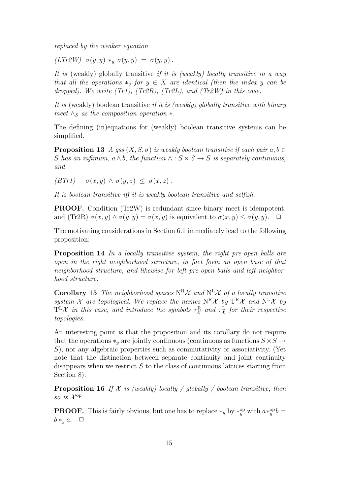replaced by the weaker equation

(LTr2W)  $\sigma(y, y) *_{y} \sigma(y, y) = \sigma(y, y)$ .

It is (weakly) globally transitive if it is (weakly) locally transitive in a way that all the operations  $*_y$  for  $y \in X$  are identical (then the index y can be dropped). We write  $(Tr1)$ ,  $(Tr2R)$ ,  $(Tr2L)$ , and  $(Tr2W)$  in this case.

It is (weakly) boolean transitive if it is (weakly) globally transitive with binary meet  $\wedge_S$  as the composition operation  $*$ .

The defining (in)equations for (weakly) boolean transitive systems can be simplified.

**Proposition 13** A gss  $(X, S, \sigma)$  is weakly boolean transitive if each pair  $a, b \in$ S has an infimum,  $a \wedge b$ , the function  $\wedge : S \times S \rightarrow S$  is separately continuous, and

 $(BTr1)$   $\sigma(x,y) \wedge \sigma(y,z) \leq \sigma(x,z)$ .

It is boolean transitive iff it is weakly boolean transitive and selfish.

PROOF. Condition (Tr2W) is redundant since binary meet is idempotent, and (Tr2R)  $\sigma(x, y) \wedge \sigma(y, y) = \sigma(x, y)$  is equivalent to  $\sigma(x, y) \leq \sigma(y, y)$ .

The motivating considerations in Section 6.1 immediately lead to the following proposition:

Proposition 14 In a locally transitive system, the right pre-open balls are open in the right neighborhood structure, in fact form an open base of that neighborhood structure, and likewise for left pre-open balls and left neighborhood structure.

**Corollary 15** The neighborhood spaces  $N^R\mathcal{X}$  and  $N^L\mathcal{X}$  of a locally transitive system X are topological. We replace the names  $N^R X$  by  $T^R X$  and  $N^L X$  by  $T<sup>L</sup>X$  in this case, and introduce the symbols  $\tau_X^R$  and  $\tau_X^L$  for their respective topologies.

An interesting point is that the proposition and its corollary do not require that the operations  $*_y$  are jointly continuous (continuous as functions  $S \times S \rightarrow$ S), nor any algebraic properties such as commutativity or associativity. (Yet note that the distinction between separate continuity and joint continuity disappears when we restrict  $S$  to the class of continuous lattices starting from Section 8).

**Proposition 16** If  $X$  is (weakly) locally / globally / boolean transitive, then so is  $\mathcal{X}^{\mathrm{op}}$ .

**PROOF.** This is fairly obvious, but one has to replace  $*_y$  by  $*^{op}_y$  with  $a *^{op}_y b =$  $b *_{y} a. \quad \Box$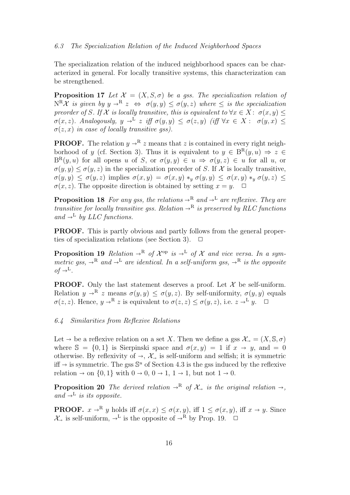The specialization relation of the induced neighborhood spaces can be characterized in general. For locally transitive systems, this characterization can be strengthened.

**Proposition 17** Let  $\mathcal{X} = (X, S, \sigma)$  be a gss. The specialization relation of  $N^R\mathcal{X}$  is given by  $y \to^R z \Leftrightarrow \sigma(y, y) \leq \sigma(y, z)$  where  $\leq$  is the specialization preorder of S. If X is locally transitive, this is equivalent to  $\forall x \in X : \sigma(x, y)$  $\sigma(x, z)$ . Analogously,  $y \to^{\mathbb{L}} z$  iff  $\sigma(y, y) \leq \sigma(z, y)$  (iff  $\forall x \in X : \sigma(y, x) \leq \sigma(z, x)$  in case of locally transitive ass)  $\sigma(z, x)$  in case of locally transitive gss).

**PROOF.** The relation  $y \rightarrow^R z$  means that z is contained in every right neighborhood of y (cf. Section 3). Thus it is equivalent to  $y \in B^{R}(y, u) \Rightarrow z \in$  $B^{R}(y, u)$  for all opens u of S, or  $\sigma(y, y) \in u \implies \sigma(y, z) \in u$  for all u, or  $\sigma(y, y) \leq \sigma(y, z)$  in the specialization preorder of S. If X is locally transitive,  $\sigma(y, y) \leq \sigma(y, z)$  implies  $\sigma(x, y) = \sigma(x, y) *_{y} \sigma(y, y) \leq \sigma(x, y) *_{y} \sigma(y, z) \leq$  $\sigma(x, z)$ . The opposite direction is obtained by setting  $x = y$ .  $\Box$ 

**Proposition 18** For any gss, the relations  $\rightarrow^R$  and  $\rightarrow^L$  are reflexive. They are transitive for locally transitive gss. Relation  $\rightarrow^R$  is preserved by RLC functions and  $\rightarrow^L$  by LLC functions.

PROOF. This is partly obvious and partly follows from the general properties of specialization relations (see Section 3).  $\Box$ 

**Proposition 19** Relation  $\rightarrow^R$  of  $\mathcal{X}^{op}$  is  $\rightarrow^L$  of  $\mathcal{X}$  and vice versa. In a sym-<br>metric assembly  $\rightarrow^R$  and  $\rightarrow^L$  are identical. In a self-uniform assembly  $\rightarrow^R$  is the approximation metric gss,  $\rightarrow^R$  and  $\rightarrow^L$  are identical. In a self-uniform gss,  $\rightarrow^R$  is the opposite  $of \rightarrow^{\mathbb{L}}$ .

**PROOF.** Only the last statement deserves a proof. Let  $\mathcal{X}$  be self-uniform. Relation  $y \to^R z$  means  $\sigma(y, y) \leq \sigma(y, z)$ . By self-uniformity,  $\sigma(y, y)$  equals  $\sigma(z, z)$ . Hence,  $y \to^R z$  is equivalent to  $\sigma(z, z) \leq \sigma(y, z)$ , i.e.  $z \to^L y$ .  $\Box$ 

#### 6.4 Similarities from Reflexive Relations

Let  $\rightarrow$  be a reflexive relation on a set X. Then we define a gss  $\mathcal{X}_{\rightarrow} = (X, \mathbb{S}, \sigma)$ where  $\mathbb{S} = \{0, 1\}$  is Sierpinski space and  $\sigma(x, y) = 1$  if  $x \to y$ , and  $= 0$ otherwise. By reflexivity of  $\rightarrow$ ,  $\mathcal{X}_{\rightarrow}$  is self-uniform and selfish; it is symmetric iff  $\rightarrow$  is symmetric. The gss  $\mathbb{S}^u$  of Section 4.3 is the gss induced by the reflexive relation  $\rightarrow$  or  $\{0, 1\}$  with  $0, \rightarrow 0, 0, \rightarrow 1, 1, \rightarrow 1$  by not  $1, \rightarrow 0$ relation  $\rightarrow$  on  $\{0, 1\}$  with  $0 \rightarrow 0, 0 \rightarrow 1, 1 \rightarrow 1$ , but not  $1 \rightarrow 0$ .

**Proposition 20** The derived relation  $\rightarrow^R$  of  $\mathcal{X}_r$  is the original relation  $\rightarrow$ , and  $\rightarrow^{\mathcal{L}}$  is its opposite.

**PROOF.**  $x \to^R y$  holds iff  $\sigma(x, x) \leq \sigma(x, y)$ , iff  $1 \leq \sigma(x, y)$ , iff  $x \to y$ . Since  $\mathcal{X}_{\rightarrow}$  is self-uniform,  $\rightarrow^{\mathbf{L}}$  is the opposite of  $\rightarrow^{\mathbf{R}}$  by Prop. 19.  $\Box$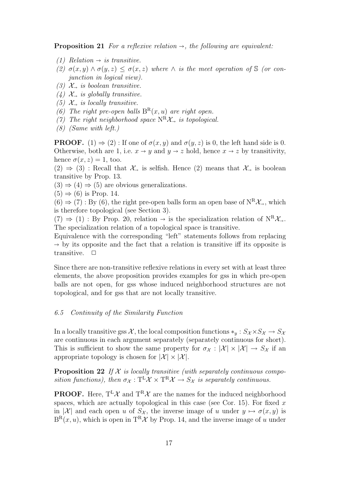**Proposition 21** For a reflexive relation  $\rightarrow$ , the following are equivalent:

- (1) Relation  $\rightarrow$  is transitive.
- (2)  $\sigma(x, y) \wedge \sigma(y, z) \leq \sigma(x, z)$  where  $\wedge$  is the meet operation of S (or conjunction in logical view).
- (3)  $\mathcal{X}_{\rightarrow}$  is boolean transitive.
- (4)  $\mathcal{X}_{\rightarrow}$  is globally transitive.
- (5)  $\mathcal{X}_{\rightarrow}$  is locally transitive.
- (6) The right pre-open balls  $B^{R}(x, u)$  are right open.
- (7) The right neighborhood space  $N^R\mathcal{X}_{\rightarrow}$  is topological.
- (8) (Same with left.)

**PROOF.** (1)  $\Rightarrow$  (2): If one of  $\sigma(x, y)$  and  $\sigma(y, z)$  is 0, the left hand side is 0. Otherwise, both are 1, i.e.  $x \to y$  and  $y \to z$  hold, hence  $x \to z$  by transitivity, hence  $\sigma(x, z) = 1$ , too.

 $(2) \Rightarrow (3)$ : Recall that  $\mathcal{X}_{\rightarrow}$  is selfish. Hence  $(2)$  means that  $\mathcal{X}_{\rightarrow}$  is boolean transitive by Prop. 13.

 $(3) \Rightarrow (4) \Rightarrow (5)$  are obvious generalizations.

 $(5) \Rightarrow (6)$  is Prop. 14.

 $(6) \Rightarrow (7) : By (6)$ , the right pre-open balls form an open base of  $N^R\mathcal{X}_{\rightarrow}$ , which is therefore topological (see Section 3).

 $(7) \Rightarrow (1) : By Prop. 20, relation \rightarrow is the specialization relation of N<sup>R</sup>X<sub>→</sub>.$ The specialization relation of a topological space is transitive.

Equivalence with the corresponding "left" statements follows from replacing  $\rightarrow$  by its opposite and the fact that a relation is transitive iff its opposite is transitive.  $\Box$ 

Since there are non-transitive reflexive relations in every set with at least three elements, the above proposition provides examples for gss in which pre-open balls are not open, for gss whose induced neighborhood structures are not topological, and for gss that are not locally transitive.

# 6.5 Continuity of the Similarity Function

In a locally transitive gss X, the local composition functions  $*_y : S_{\mathcal{X}} \times S_{\mathcal{X}} \to S_{\mathcal{X}}$ are continuous in each argument separately (separately continuous for short). This is sufficient to show the same property for  $\sigma_{\mathcal{X}} : |\mathcal{X}| \times |\mathcal{X}| \to S_{\mathcal{X}}$  if an appropriate topology is chosen for  $|\mathcal{X}| \times |\mathcal{X}|$ .

**Proposition 22** If  $X$  is locally transitive (with separately continuous composition functions), then  $\sigma_{\mathcal{X}} : T^L \mathcal{X} \times T^R \mathcal{X} \to S_{\mathcal{X}}$  is separately continuous.

**PROOF.** Here,  $T^L \mathcal{X}$  and  $T^R \mathcal{X}$  are the names for the induced neighborhood spaces, which are actually topological in this case (see Cor. 15). For fixed  $x$ in |X| and each open u of  $S_{\mathcal{X}}$ , the inverse image of u under  $y \mapsto \sigma(x, y)$  is  $B^{R}(x, u)$ , which is open in T<sup>R</sup> $\mathcal{X}$  by Prop. 14, and the inverse image of u under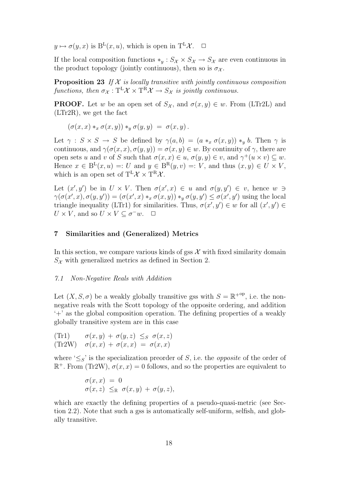$y \mapsto \sigma(y, x)$  is  $B^{L}(x, u)$ , which is open in  $T^{L} \mathcal{X}$ .  $\Box$ 

If the local composition functions  $*_y : S_{\mathcal{X}} \times S_{\mathcal{X}} \to S_{\mathcal{X}}$  are even continuous in the product topology (jointly continuous), then so is  $\sigma_{\mathcal{X}}$ .

**Proposition 23** If  $X$  is locally transitive with jointly continuous composition functions, then  $\sigma_{\mathcal{X}} : {\rm T}^{\rm L} \mathcal{X} \times {\rm T}^{\rm R} \mathcal{X} \to S_{\mathcal{X}}$  is jointly continuous.

**PROOF.** Let w be an open set of  $S_{\mathcal{X}}$ , and  $\sigma(x, y) \in w$ . From (LTr2L) and (LTr2R), we get the fact

 $(\sigma(x, x) *_{x} \sigma(x, y)) *_{y} \sigma(y, y) = \sigma(x, y).$ 

Let  $\gamma : S \times S \to S$  be defined by  $\gamma(a, b) = (a *_{x} \sigma(x, y)) *_{y} b$ . Then  $\gamma$  is continuous, and  $\gamma(\sigma(x, x), \sigma(y, y)) = \sigma(x, y) \in w$ . By continuity of  $\gamma$ , there are open sets u and v of S such that  $\sigma(x,x) \in u$ ,  $\sigma(y,y) \in v$ , and  $\gamma^+(u \times v) \subseteq w$ . Hence  $x \in B^L(x, u) =: U$  and  $y \in B^R(y, v) =: V$ , and thus  $(x, y) \in U \times V$ , which is an open set of  $T^L \mathcal{X} \times T^R \mathcal{X}$ .

Let  $(x', y')$  be in  $U \times V$ . Then  $\sigma(x', x) \in u$  and  $\sigma(y, y') \in v$ , hence  $w \ni$  $\gamma(\sigma(x',x),\sigma(y,y')) = (\sigma(x',x) *_{x} \sigma(x,y)) *_{y} \sigma(y,y') \leq \sigma(x',y')$  using the local triangle inequality (LTr1) for similarities. Thus,  $\sigma(x', y') \in w$  for all  $(x', y') \in w$  $U \times V$ , and so  $U \times V \subseteq \sigma^{-}w$ .  $\Box$ 

## 7 Similarities and (Generalized) Metrics

In this section, we compare various kinds of gss  $\mathcal X$  with fixed similarity domain  $S_{\mathcal{X}}$  with generalized metrics as defined in Section 2.

#### 7.1 Non-Negative Reals with Addition

Let  $(X, S, \sigma)$  be a weakly globally transitive gss with  $S = \mathbb{R}^{+{\rm op}}$ , i.e. the nonnegative reals with the Scott topology of the opposite ordering, and addition '+' as the global composition operation. The defining properties of a weakly globally transitive system are in this case

(Tr1) 
$$
\sigma(x, y) + \sigma(y, z) \leq_S \sigma(x, z)
$$
  
(Tr2W)  $\sigma(x, x) + \sigma(x, x) = \sigma(x, x)$ 

where ' $\leq_S$ ' is the specialization preorder of S, i.e. the *opposite* of the order of  $\mathbb{R}^+$ . From (Tr2W),  $\sigma(x, x) = 0$  follows, and so the properties are equivalent to

$$
\begin{array}{l}\n\sigma(x,x) = 0 \\
\sigma(x,z) \leq_{\mathbb{R}} \sigma(x,y) + \sigma(y,z),\n\end{array}
$$

which are exactly the defining properties of a pseudo-quasi-metric (see Section 2.2). Note that such a gss is automatically self-uniform, selfish, and globally transitive.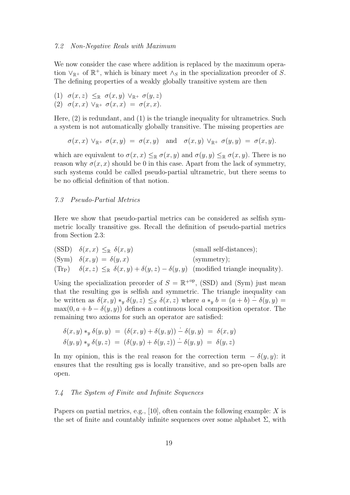We now consider the case where addition is replaced by the maximum operation  $\vee_{\mathbb{R}^+}$  of  $\mathbb{R}^+$ , which is binary meet  $\wedge_S$  in the specialization preorder of S. The defining properties of a weakly globally transitive system are then

(1) 
$$
\sigma(x, z) \leq_{\mathbb{R}} \sigma(x, y) \vee_{\mathbb{R}^+} \sigma(y, z)
$$
  
(2)  $\sigma(x, x) \vee_{\mathbb{R}^+} \sigma(x, x) = \sigma(x, x)$ .

Here, (2) is redundant, and (1) is the triangle inequality for ultrametrics. Such a system is not automatically globally transitive. The missing properties are

$$
\sigma(x,x)\ \vee_{\mathbb{R}^+}\sigma(x,y)\ =\ \sigma(x,y)\quad\text{and}\quad\sigma(x,y)\ \vee_{\mathbb{R}^+}\sigma(y,y)\ =\ \sigma(x,y).
$$

which are equivalent to  $\sigma(x, x) \leq_{\mathbb{R}} \sigma(x, y)$  and  $\sigma(y, y) \leq_{\mathbb{R}} \sigma(x, y)$ . There is no reason why  $\sigma(x, x)$  should be 0 in this case. Apart from the lack of symmetry, such systems could be called pseudo-partial ultrametric, but there seems to be no official definition of that notion.

## 7.3 Pseudo-Partial Metrics

Here we show that pseudo-partial metrics can be considered as selfish symmetric locally transitive gss. Recall the definition of pseudo-partial metrics from Section 2.3:

(SSD) 
$$
\delta(x, x) \leq_{\mathbb{R}} \delta(x, y)
$$
 (small self-distances);  
\n(Sym)  $\delta(x, y) = \delta(y, x)$  (symmetry);  
\n(Tr<sub>P</sub>)  $\delta(x, z) \leq_{\mathbb{R}} \delta(x, y) + \delta(y, z) - \delta(y, y)$  (modified triangle inequality).

Using the specialization preorder of  $S = \mathbb{R}^{+{\rm op}}$ , (SSD) and (Sym) just mean that the resulting gss is selfish and symmetric. The triangle inequality can be written as  $\delta(x, y) *_{y} \delta(y, z) \leq_{S} \delta(x, z)$  where  $a *_{y} b = (a + b) - \delta(y, y) =$  $\max(0, a + b - \delta(y, y))$  defines a continuous local composition operator. The remaining two axioms for such an operator are satisfied:

$$
\delta(x, y) *_{y} \delta(y, y) = (\delta(x, y) + \delta(y, y)) - \delta(y, y) = \delta(x, y)
$$
  

$$
\delta(y, y) *_{y} \delta(y, z) = (\delta(y, y) + \delta(y, z)) - \delta(y, y) = \delta(y, z)
$$

In my opinion, this is the real reason for the correction term  $-\delta(y, y)$ : it ensures that the resulting gss is locally transitive, and so pre-open balls are open.

#### 7.4 The System of Finite and Infinite Sequences

Papers on partial metrics, e.g., [10], often contain the following example:  $X$  is the set of finite and countably infinite sequences over some alphabet  $\Sigma$ , with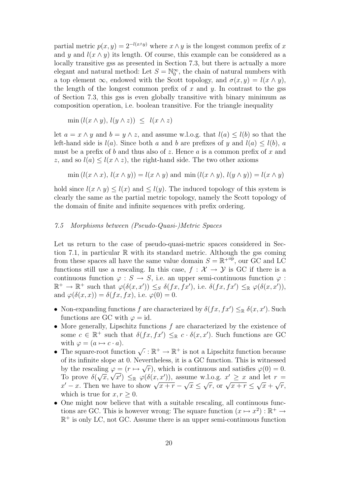partial metric  $p(x, y) = 2^{-l(x \wedge y)}$  where  $x \wedge y$  is the longest common prefix of x and y and  $l(x \wedge y)$  its length. Of course, this example can be considered as a locally transitive gss as presented in Section 7.3, but there is actually a more elegant and natural method: Let  $S = \mathbb{N}_0^{\infty}$ , the chain of natural numbers with a top element  $\infty$ , endowed with the Scott topology, and  $\sigma(x, y) = l(x \wedge y)$ , the length of the longest common prefix of x and y. In contrast to the gss of Section 7.3, this gss is even globally transitive with binary minimum as composition operation, i.e. boolean transitive. For the triangle inequality

$$
\min(l(x \wedge y), l(y \wedge z)) \leq l(x \wedge z)
$$

let  $a = x \wedge y$  and  $b = y \wedge z$ , and assume w.l.o.g. that  $l(a) \leq l(b)$  so that the left-hand side is  $l(a)$ . Since both a and b are prefixes of y and  $l(a) \leq l(b)$ , a must be a prefix of b and thus also of z. Hence a is a common prefix of x and z, and so  $l(a) \leq l(x \wedge z)$ , the right-hand side. The two other axioms

$$
\min(l(x \wedge x), l(x \wedge y)) = l(x \wedge y) \text{ and } \min(l(x \wedge y), l(y \wedge y)) = l(x \wedge y)
$$

hold since  $l(x \wedge y) \leq l(x)$  and  $\leq l(y)$ . The induced topology of this system is clearly the same as the partial metric topology, namely the Scott topology of the domain of finite and infinite sequences with prefix ordering.

# 7.5 Morphisms between (Pseudo-Quasi-)Metric Spaces

Let us return to the case of pseudo-quasi-metric spaces considered in Section 7.1, in particular  $\mathbb R$  with its standard metric. Although the gss coming from these spaces all have the same value domain  $S = \mathbb{R}^{+{\rm op}},$  our GC and LC functions still use a rescaling. In this case,  $f : \mathcal{X} \to \mathcal{Y}$  is GC if there is a continuous function  $\varphi : S \to S$ , i.e. an upper semi-continuous function  $\varphi$ :  $\mathbb{R}^+ \to \mathbb{R}^+$  such that  $\varphi(\delta(x, x')) \leq_S \delta(fx, fx')$ , i.e.  $\delta(fx, fx') \leq_{\mathbb{R}} \varphi(\delta(x, x'))$ , and  $\varphi(\delta(x, x)) = \delta(fx, fx)$ , i.e.  $\varphi(0) = 0$ .

- Non-expanding functions f are characterized by  $\delta(fx, fx') \leq_{\mathbb{R}} \delta(x, x')$ . Such functions are GC with  $\varphi = id$ .
- More generally, Lipschitz functions  $f$  are characterized by the existence of some  $c \in \mathbb{R}^+$  such that  $\delta(fx, fx') \leq_{\mathbb{R}} c \cdot \delta(x, x')$ . Such functions are GC with  $\varphi = (a \mapsto c \cdot a)$ .
- The square-root function  $\sqrt{\cdot}: \mathbb{R}^+ \to \mathbb{R}^+$  is not a Lipschitz function because of its infinite slope at 0. Nevertheless, it is a GC function. This is witnessed √ by the rescaling  $\varphi = (r \mapsto \sqrt{r})$ , which is continuous and satisfies  $\varphi(0) = 0$ . by the rescaling  $\varphi = (r \mapsto \sqrt{r})$ , which is continuous and satisfies  $\varphi(0) = 0$ .<br>To prove  $\delta(\sqrt{x}, \sqrt{x'}) \leq_{\mathbb{R}} \varphi(\delta(x, x'))$ , assume w.l.o.g.  $x' \geq x$  and let  $r =$ 10 prove  $\sigma(\sqrt{x}, \sqrt{x}) \leq \mathbb{R} \varphi(\sigma(x, x))$ , as<br>  $x' - x$ . Then we have to show  $\sqrt{x+r}$ √  $\overline{x} \leq$ v.i.o.g.  $x \geq x$  and  $\sqrt{r}$ , or  $\sqrt{x+r} \leq$ √  $\overline{x}$  + √  $\overline{r},$ which is true for  $x, r \geq 0$ .
- One might now believe that with a suitable rescaling, all continuous functions are GC. This is however wrong: The square function  $(x \mapsto x^2) : \mathbb{R}^+ \to$  $\mathbb{R}^+$  is only LC, not GC. Assume there is an upper semi-continuous function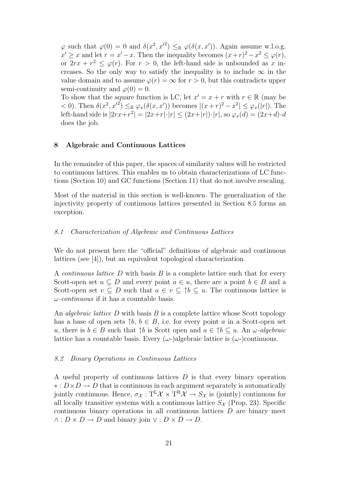$\varphi$  such that  $\varphi(0) = 0$  and  $\delta(x^2, x'^2) \leq_{\mathbb{R}} \varphi(\delta(x, x'))$ . Again assume w.l.o.g.  $x' \geq x$  and let  $r = x' - x$ . Then the inequality becomes  $(x+r)^2 - x^2 \leq \varphi(r)$ , or  $2rx + r^2 \le \varphi(r)$ . For  $r > 0$ , the left-hand side is unbounded as x increases. So the only way to satisfy the inequality is to include  $\infty$  in the value domain and to assume  $\varphi(r) = \infty$  for  $r > 0$ , but this contradicts upper semi-continuity and  $\varphi(0) = 0$ .

To show that the square function is LC, let  $x' = x + r$  with  $r \in \mathbb{R}$  (may be  $<$  0). Then  $\delta(x^2, x'^2) \leq_{\mathbb{R}} \varphi_x(\delta(x, x'))$  becomes  $|(x+r)^2 - x^2| \leq \varphi_x(|r|)$ . The left-hand side is  $|2rx+r^2| = |2x+r| \cdot |r| \le (2x+|r|) \cdot |r|$ , so  $\varphi_x(d) = (2x+d) \cdot d$ does the job.

## 8 Algebraic and Continuous Lattices

In the remainder of this paper, the spaces of similarity values will be restricted to continuous lattices. This enables us to obtain characterizations of LC functions (Section 10) and GC functions (Section 11) that do not involve rescaling.

Most of the material in this section is well-known. The generalization of the injectivity property of continuous lattices presented in Section 8.5 forms an exception.

#### 8.1 Characterization of Algebraic and Continuous Lattices

We do not present here the "official" definitions of algebraic and continuous lattices (see [4]), but an equivalent topological characterization.

A *continuous lattice*  $D$  with basis  $B$  is a complete lattice such that for every Scott-open set  $u \subseteq D$  and every point  $a \in u$ , there are a point  $b \in B$  and a Scott-open set  $v \subseteq D$  such that  $a \in v \subseteq \uparrow b \subseteq u$ . The continuous lattice is  $\omega$ -continuous if it has a countable basis.

An *algebraic lattice*  $D$  with basis  $B$  is a complete lattice whose Scott topology has a base of open sets  $\uparrow b, b \in B$ , i.e. for every point a in a Scott-open set u, there is  $b \in B$  such that  $\uparrow b$  is Scott open and  $a \in \uparrow b \subseteq u$ . An  $\omega$ -algebraic lattice has a countable basis. Every  $(\omega)$ -)algebraic lattice is  $(\omega)$ -)continuous.

#### 8.2 Binary Operations in Continuous Lattices

A useful property of continuous lattices  $D$  is that every binary operation  $\ast: D \times D \rightarrow D$  that is continuous in each argument separately is automatically jointly continuous. Hence,  $\sigma_{\mathcal{X}}: T^{\mathbb{L}}\mathcal{X} \times T^{\mathbb{R}}\mathcal{X} \to S_{\mathcal{X}}$  is (jointly) continuous for all locally transitive systems with a continuous lattice  $S_{\mathcal{X}}$  (Prop. 23). Specific continuous binary operations in all continuous lattices D are binary meet  $\wedge : D \times D \to D$  and binary join  $\vee : D \times D \to D$ .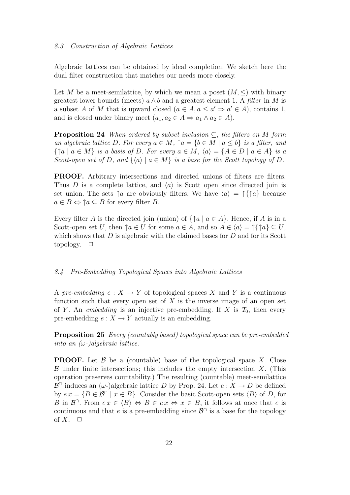Algebraic lattices can be obtained by ideal completion. We sketch here the dual filter construction that matches our needs more closely.

Let M be a meet-semilattice, by which we mean a poset  $(M, \leq)$  with binary greatest lower bounds (meets)  $a \wedge b$  and a greatest element 1. A filter in M is a subset A of M that is upward closed  $(a \in A, a \le a' \Rightarrow a' \in A)$ , contains 1, and is closed under binary meet  $(a_1, a_2 \in A \Rightarrow a_1 \land a_2 \in A)$ .

**Proposition 24** When ordered by subset inclusion  $\subseteq$ , the filters on M form an algebraic lattice D. For every  $a \in M$ ,  $\uparrow a = \{b \in M \mid a \leq b\}$  is a filter, and  $\{\uparrow a \mid a \in M\}$  is a basis of D. For every  $a \in M$ ,  $\langle a \rangle = \{A \in D \mid a \in A\}$  is a Scott-open set of D, and  $\{\langle a \rangle | a \in M\}$  is a base for the Scott topology of D.

PROOF. Arbitrary intersections and directed unions of filters are filters. Thus D is a complete lattice, and  $\langle a \rangle$  is Scott open since directed join is set union. The sets  $\uparrow a$  are obviously filters. We have  $\langle a \rangle = \uparrow \uparrow a$  because  $a \in B \Leftrightarrow \uparrow a \subseteq B$  for every filter B.

Every filter A is the directed join (union) of  $\{\uparrow a \mid a \in A\}$ . Hence, if A is in a Scott-open set U, then  $\uparrow a \in U$  for some  $a \in A$ , and so  $A \in \langle a \rangle = \uparrow \uparrow \uparrow a \rbrace \subset U$ , which shows that  $D$  is algebraic with the claimed bases for  $D$  and for its Scott topology.  $\Box$ 

## 8.4 Pre-Embedding Topological Spaces into Algebraic Lattices

A pre-embedding  $e: X \to Y$  of topological spaces X and Y is a continuous function such that every open set of  $X$  is the inverse image of an open set of Y. An *embedding* is an injective pre-embedding. If X is  $\mathcal{T}_0$ , then every pre-embedding  $e: X \to Y$  actually is an embedding.

**Proposition 25** Every (countably based) topological space can be pre-embedded into an  $(\omega)$ -)algebraic lattice.

**PROOF.** Let  $\beta$  be a (countable) base of the topological space X. Close  $\beta$  under finite intersections; this includes the empty intersection X. (This operation preserves countability.) The resulting (countable) meet-semilattice  $\mathcal{B}^{\cap}$  induces an  $(\omega)$ -algebraic lattice D by Prop. 24. Let  $e: X \to D$  be defined by  $ex = \{B \in \mathcal{B} \cap \mid x \in B\}$ . Consider the basic Scott-open sets  $\langle B \rangle$  of D, for B in  $\mathcal{B}^{\cap}$ . From  $ex \in \langle B \rangle \Leftrightarrow B \in ex \Leftrightarrow x \in B$ , it follows at once that e is continuous and that e is a pre-embedding since  $\mathcal{B}^{\cap}$  is a base for the topology of  $X$ .  $\Box$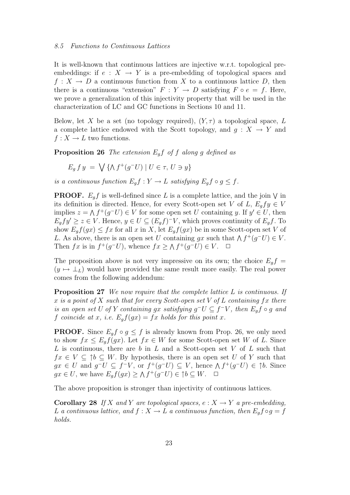#### 8.5 Functions to Continuous Lattices

It is well-known that continuous lattices are injective w.r.t. topological preembeddings: if  $e: X \to Y$  is a pre-embedding of topological spaces and  $f: X \to D$  a continuous function from X to a continuous lattice D, then there is a continuous "extension"  $F: Y \to D$  satisfying  $F \circ e = f$ . Here, we prove a generalization of this injectivity property that will be used in the characterization of LC and GC functions in Sections 10 and 11.

Below, let X be a set (no topology required),  $(Y, \tau)$  a topological space, L a complete lattice endowed with the Scott topology, and  $g: X \to Y$  and  $f: X \to L$  two functions.

**Proposition 26** The extension  $E_q f$  of f along g defined as

$$
E_g f y = \bigvee \{ \wedge f^+(g^-U) \mid U \in \tau, U \ni y \}
$$

is a continuous function  $E_q f : Y \to L$  satisfying  $E_q f \circ g \leq f$ .

**PROOF.**  $E_g f$  is well-defined since L is a complete lattice, and the join  $\vee$  in its definition is directed. Hence, for every Scott-open set V of L,  $E_g f y \in V$ implies  $z = \Lambda f^+(g^-U) \in V$  for some open set U containing y. If  $y' \in U$ , then  $E_g f y' \geq z \in V$ . Hence,  $y \in U \subseteq (E_g f)^{-}V$ , which proves continuity of  $E_g f$ . To show  $E_g f(gx) \leq fx$  for all x in X, let  $E_g f(gx)$  be in some Scott-open set V of L. As above, there is an open set U containing gx such that  $\wedge f^+(g^-U) \in V$ . Then  $fx$  is in  $f^+(g^-U)$ , whence  $fx \geq \Lambda f^+(g^-U) \in V$ .  $\Box$ 

The proposition above is not very impressive on its own; the choice  $E_q f =$  $(y \mapsto \perp_L)$  would have provided the same result more easily. The real power comes from the following addendum:

**Proposition 27** We now require that the complete lattice  $L$  is continuous. If x is a point of X such that for every Scott-open set V of L containing fx there is an open set U of Y containing gx satisfying  $g^-U \subseteq f^-V$ , then  $E_g f \circ g$  and f coincide at x, i.e.  $E_q f(gx) = fx$  holds for this point x.

**PROOF.** Since  $E_q f \circ g \leq f$  is already known from Prop. 26, we only need to show  $fx \leq E_qf(gx)$ . Let  $fx \in W$  for some Scott-open set W of L. Since L is continuous, there are  $b$  in  $L$  and a Scott-open set  $V$  of  $L$  such that  $fx \in V \subseteq \uparrow b \subseteq W$ . By hypothesis, there is an open set U of Y such that  $gx \in U$  and  $g^-U \subseteq f^-V$ , or  $f^+(g^-U) \subseteq V$ , hence  $\wedge f^+(g^-U) \in \uparrow b$ . Since  $gx \in U$ , we have  $E_g f(gx) \ge \Lambda f^+(g^-U) \in \uparrow b \subseteq W$ .  $\Box$ 

The above proposition is stronger than injectivity of continuous lattices.

**Corollary 28** If X and Y are topological spaces,  $e: X \to Y$  a pre-embedding, L a continuous lattice, and  $f: X \to L$  a continuous function, then  $E_q f \circ g = f$ holds.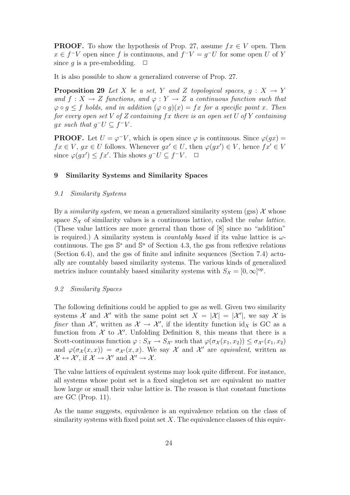**PROOF.** To show the hypothesis of Prop. 27, assume  $fx \in V$  open. Then  $x \in f^{-}V$  open since f is continuous, and  $f^{-}V = g^{-}U$  for some open U of Y since q is a pre-embedding.  $\Box$ 

It is also possible to show a generalized converse of Prop. 27.

**Proposition 29** Let X be a set, Y and Z topological spaces,  $q : X \rightarrow Y$ and  $f: X \to Z$  functions, and  $\varphi: Y \to Z$  a continuous function such that  $\varphi \circ q \leq f$  holds, and in addition  $(\varphi \circ q)(x) = fx$  for a specific point x. Then for every open set V of Z containing  $fx$  there is an open set U of Y containing gx such that  $g^-U \subseteq f^-V$ .

**PROOF.** Let  $U = \varphi^{-}V$ , which is open since  $\varphi$  is continuous. Since  $\varphi(gx) =$  $fx \in V, gx \in U$  follows. Whenever  $gx' \in U$ , then  $\varphi(gx') \in V$ , hence  $fx' \in V$ since  $\varphi(gx') \leq fx'$ . This shows  $g^-U \subseteq f^-V$ .  $\Box$ 

## 9 Similarity Systems and Similarity Spaces

#### 9.1 Similarity Systems

By a *similarity system*, we mean a generalized similarity system (gss)  $\mathcal{X}$  whose space  $S_{\mathcal{X}}$  of similarity values is a continuous lattice, called the *value lattice*. (These value lattices are more general than those of [8] since no "addition" is required.) A similarity system is *countably based* if its value lattice is  $\omega$ continuous. The gss  $\mathbb{S}^s$  and  $\mathbb{S}^u$  of Section 4.3, the gss from reflexive relations (Section 6.4), and the gss of finite and infinite sequences (Section 7.4) actually are countably based similarity systems. The various kinds of generalized metrics induce countably based similarity systems with  $S_{\mathcal{X}} = [0, \infty]^{\text{op}}$ .

## 9.2 Similarity Spaces

The following definitions could be applied to gss as well. Given two similarity systems X and X' with the same point set  $X = |\mathcal{X}| = |\mathcal{X}'|$ , we say X is finer than  $\mathcal{X}'$ , written as  $\mathcal{X} \to \mathcal{X}'$ , if the identity function id<sub>X</sub> is GC as a function from  $\mathcal X$  to  $\mathcal X'$ . Unfolding Definition 8, this means that there is a Scott-continuous function  $\varphi: S_{\mathcal{X}} \to S_{\mathcal{X}}$  such that  $\varphi(\sigma_{\mathcal{X}}(x_1, x_2)) \leq \sigma_{\mathcal{X}}(x_1, x_2)$ and  $\varphi(\sigma_{\mathcal{X}}(x,x)) = \sigma_{\mathcal{X}'}(x,x)$ . We say X and X' are equivalent, written as  $\mathcal{X} \leftrightarrow \mathcal{X}'$ , if  $\mathcal{X} \rightarrow \mathcal{X}'$  and  $\mathcal{X}' \rightarrow \mathcal{X}$ .

The value lattices of equivalent systems may look quite different. For instance, all systems whose point set is a fixed singleton set are equivalent no matter how large or small their value lattice is. The reason is that constant functions are GC (Prop. 11).

As the name suggests, equivalence is an equivalence relation on the class of similarity systems with fixed point set  $X$ . The equivalence classes of this equiv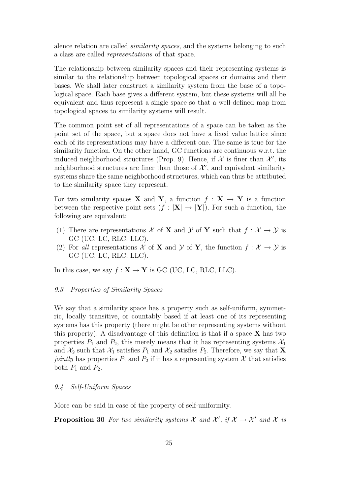alence relation are called similarity spaces, and the systems belonging to such a class are called representations of that space.

The relationship between similarity spaces and their representing systems is similar to the relationship between topological spaces or domains and their bases. We shall later construct a similarity system from the base of a topological space. Each base gives a different system, but these systems will all be equivalent and thus represent a single space so that a well-defined map from topological spaces to similarity systems will result.

The common point set of all representations of a space can be taken as the point set of the space, but a space does not have a fixed value lattice since each of its representations may have a different one. The same is true for the similarity function. On the other hand, GC functions are continuous w.r.t. the induced neighborhood structures (Prop. 9). Hence, if  $\mathcal X$  is finer than  $\mathcal X'$ , its neighborhood structures are finer than those of  $\mathcal{X}'$ , and equivalent similarity systems share the same neighborhood structures, which can thus be attributed to the similarity space they represent.

For two similarity spaces **X** and **Y**, a function  $f : \mathbf{X} \to \mathbf{Y}$  is a function between the respective point sets  $(f : |X| \rightarrow |Y|)$ . For such a function, the following are equivalent:

- (1) There are representations X of X and Y of Y such that  $f: \mathcal{X} \to \mathcal{Y}$  is GC (UC, LC, RLC, LLC).
- (2) For all representations X of X and Y of Y, the function  $f: \mathcal{X} \to \mathcal{Y}$  is GC (UC, LC, RLC, LLC).

In this case, we say  $f : \mathbf{X} \to \mathbf{Y}$  is GC (UC, LC, RLC, LLC).

## 9.3 Properties of Similarity Spaces

We say that a similarity space has a property such as self-uniform, symmetric, locally transitive, or countably based if at least one of its representing systems has this property (there might be other representing systems without this property). A disadvantage of this definition is that if a space  $X$  has two properties  $P_1$  and  $P_2$ , this merely means that it has representing systems  $\mathcal{X}_1$ and  $\mathcal{X}_2$  such that  $\mathcal{X}_1$  satisfies  $P_1$  and  $\mathcal{X}_2$  satisfies  $P_2$ . Therefore, we say that **X** jointly has properties  $P_1$  and  $P_2$  if it has a representing system X that satisfies both  $P_1$  and  $P_2$ .

## 9.4 Self-Uniform Spaces

More can be said in case of the property of self-uniformity.

**Proposition 30** For two similarity systems  $\mathcal{X}$  and  $\mathcal{X}'$ , if  $\mathcal{X} \to \mathcal{X}'$  and  $\mathcal{X}$  is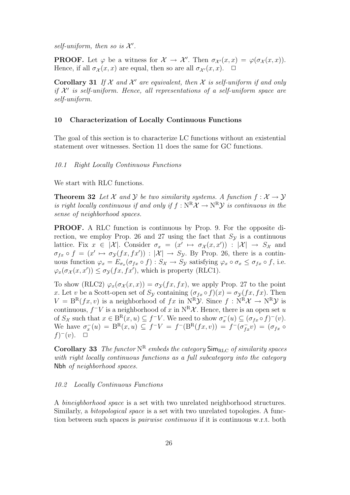self-uniform, then so is  $\mathcal{X}'$ .

**PROOF.** Let  $\varphi$  be a witness for  $\mathcal{X} \to \mathcal{X}'$ . Then  $\sigma_{\mathcal{X}'}(x,x) = \varphi(\sigma_{\mathcal{X}}(x,x))$ . Hence, if all  $\sigma_{\mathcal{X}}(x, x)$  are equal, then so are all  $\sigma_{\mathcal{X}}(x, x)$ .  $\Box$ 

Corollary 31 If  $X$  and  $X'$  are equivalent, then  $X$  is self-uniform if and only if  $\mathcal{X}'$  is self-uniform. Hence, all representations of a self-uniform space are self-uniform.

## 10 Characterization of Locally Continuous Functions

The goal of this section is to characterize LC functions without an existential statement over witnesses. Section 11 does the same for GC functions.

#### 10.1 Right Locally Continuous Functions

We start with RLC functions.

**Theorem 32** Let X and Y be two similarity systems. A function  $f: \mathcal{X} \to \mathcal{Y}$ is right locally continuous if and only if  $f : N^R \mathcal{X} \to N^R \mathcal{Y}$  is continuous in the sense of neighborhood spaces.

PROOF. A RLC function is continuous by Prop. 9. For the opposite direction, we employ Prop. 26 and 27 using the fact that  $S_{\mathcal{Y}}$  is a continuous lattice. Fix  $x \in |\mathcal{X}|$ . Consider  $\sigma_x = (x' \mapsto \sigma_{\mathcal{X}}(x, x')) : |\mathcal{X}| \to S_{\mathcal{X}}$  and  $\sigma_{fx} \circ f = (x' \mapsto \sigma_{\mathcal{Y}}(fx, fx')) : |\mathcal{X}| \to S_{\mathcal{Y}}$ . By Prop. 26, there is a continuous function  $\varphi_x = E_{\sigma_x}(\sigma_{fx} \circ f) : S_{\mathcal{X}} \to S_{\mathcal{Y}}$  satisfying  $\varphi_x \circ \sigma_x \leq \sigma_{fx} \circ f$ , i.e.  $\varphi_x(\sigma_\mathcal{X}(x, x')) \leq \sigma_\mathcal{Y}(fx, fx'),$  which is property (RLC1).

To show (RLC2)  $\varphi_x(\sigma_x(x,x)) = \sigma_y(fx, fx)$ , we apply Prop. 27 to the point x. Let v be a Scott-open set of  $S_{\mathcal{Y}}$  containing  $(\sigma_{fx} \circ f)(x) = \sigma_{\mathcal{Y}}(fx, fx)$ . Then  $V = B^{R}(fx, v)$  is a neighborhood of  $fx$  in  $N^{R}y$ . Since  $f : N^{R}x \rightarrow N^{R}y$  is continuous,  $f^-V$  is a neighborhood of x in  $N^R\mathcal{X}$ . Hence, there is an open set u of  $S_{\mathcal{X}}$  such that  $x \in B^{R}(x, u) \subseteq f^{-}V$ . We need to show  $\sigma_x^{-}(u) \subseteq (\sigma_{fx} \circ f)^{-(v)}$ . We have  $\sigma_x^{-}(u) = B^{R}(x, u) \subseteq f^{-}V = f^{-}(B^{R}(fx, v)) = f^{-}(\sigma_{fx}^{-}v) = (\sigma_{fx} \circ$  $f)^{-}(v)$ .  $\Box$ 

Corollary 33 The functor  $N^R$  embeds the category  $\textsf{Sim}_{\text{RLC}}$  of similarity spaces with right locally continuous functions as a full subcategory into the category Nbh of neighborhood spaces.

#### 10.2 Locally Continuous Functions

A bineighborhood space is a set with two unrelated neighborhood structures. Similarly, a bitopological space is a set with two unrelated topologies. A function between such spaces is *pairwise continuous* if it is continuous w.r.t. both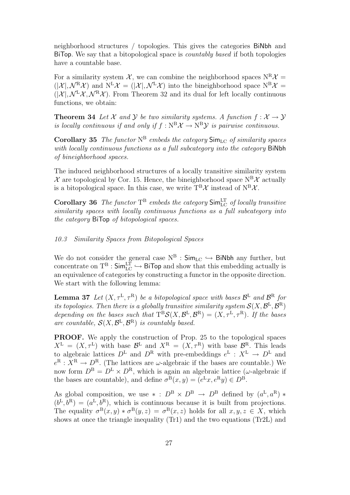neighborhood structures / topologies. This gives the categories BiNbh and BiTop. We say that a bitopological space is countably based if both topologies have a countable base.

For a similarity system X, we can combine the neighborhood spaces  $N^R X =$  $(|\mathcal{X}|, \mathcal{N}^R \mathcal{X})$  and  $N^L \mathcal{X} = (|\mathcal{X}|, \mathcal{N}^L \mathcal{X})$  into the bineighborhood space  $N^B \mathcal{X} =$  $(|\mathcal{X}|, \mathcal{N}^L \mathcal{X}, \mathcal{N}^R \mathcal{X})$ . From Theorem 32 and its dual for left locally continuous functions, we obtain:

**Theorem 34** Let X and Y be two similarity systems. A function  $f: \mathcal{X} \to \mathcal{Y}$ is locally continuous if and only if  $f : \mathbb{N}^B \mathcal{X} \to \mathbb{N}^B \mathcal{Y}$  is pairwise continuous.

**Corollary 35** The functor  $N^B$  embeds the category  $\textsf{Sim}_{\text{LC}}$  of similarity spaces with locally continuous functions as a full subcategory into the category BiNbh of bineighborhood spaces.

The induced neighborhood structures of a locally transitive similarity system  $\mathcal X$  are topological by Cor. 15. Hence, the bineighborhood space  $N^B\mathcal X$  actually is a bitopological space. In this case, we write  $T^{B}\mathcal{X}$  instead of  $N^{B}\mathcal{X}$ .

**Corollary 36** The functor  $T^B$  embeds the category  $\text{Sim}_{\text{LC}}^{\text{LT}}$  of locally transitive similarity spaces with locally continuous functions as a full subcategory into the category BiTop of bitopological spaces.

## 10.3 Similarity Spaces from Bitopological Spaces

We do not consider the general case  $N^B$  :  $\mathsf{Sim}_{\mathrm{LC}} \hookrightarrow \mathsf{BiNbh}$  any further, but concentrate on  $T^B$  :  $\mathsf{Sim}_{\mathrm{LC}}^{\mathrm{LT}} \hookrightarrow \mathsf{BiTop}$  and show that this embedding actually is an equivalence of categories by constructing a functor in the opposite direction. We start with the following lemma:

**Lemma 37** Let  $(X, \tau^{\mathbb{L}}, \tau^{\mathbb{R}})$  be a bitopological space with bases  $\mathcal{B}^{\mathbb{L}}$  and  $\mathcal{B}^{\mathbb{R}}$  for its topologies. Then there is a globally transitive similarity system  $\mathcal{S}(X, \mathcal{B}^{\rm L}, \mathcal{B}^{\rm R})$ depending on the bases such that  $T^{B}S(X, \mathcal{B}^{L}, \mathcal{B}^{R}) = (X, \tau^{L}, \tau^{R})$ . If the bases are countable,  $\mathcal{S}(X,\mathcal{B}^{\mathbb{L}},\mathcal{B}^{\mathbb{R}})$  is countably based.

PROOF. We apply the construction of Prop. 25 to the topological spaces  $X^{\mathsf{L}} = (X, \tau^{\mathsf{L}})$  with base  $\mathcal{B}^{\mathsf{L}}$  and  $X^{\mathsf{R}} = (X, \tau^{\mathsf{R}})$  with base  $\mathcal{B}^{\mathsf{R}}$ . This leads to algebraic lattices  $D^{\text{L}}$  and  $D^{\text{R}}$  with pre-embeddings  $e^{\text{L}}: X^{\text{L}} \to D^{\text{L}}$  and  $e^{R}: X^{R} \to D^{R}$ . (The lattices are  $\omega$ -algebraic if the bases are countable.) We now form  $D^B = D^L \times D^R$ , which is again an algebraic lattice ( $\omega$ -algebraic if the bases are countable), and define  $\sigma^{B}(x, y) = (e^{L}x, e^{R}y) \in D^{B}$ .

As global composition, we use  $* : D^B \times D^B \rightarrow D^B$  defined by  $(a^L, a^R) *$  $(b^L, b^R) = (a^L, b^R)$ , which is continuous because it is built from projections. The equality  $\sigma^{B}(x, y) * \sigma^{B}(y, z) = \sigma^{B}(x, z)$  holds for all  $x, y, z \in X$ , which shows at once the triangle inequality (Tr1) and the two equations (Tr2L) and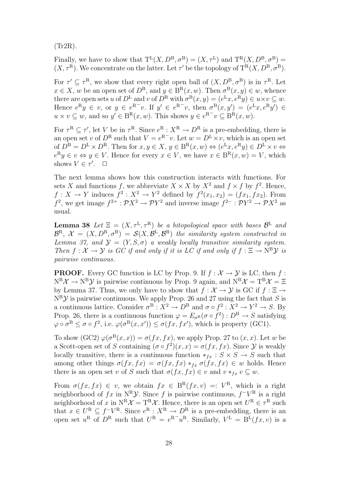(Tr2R).

Finally, we have to show that  $T^L(X, D^B, \sigma^B) = (X, \tau^L)$  and  $T^R(X, D^B, \sigma^B) =$  $(X, \tau^{\mathbb{R}})$ . We concentrate on the latter. Let  $\tau'$  be the topology of  $T^{\mathbb{R}}(X, D^{\mathbb{B}}, \sigma^{\mathbb{B}})$ .

For  $\tau' \subseteq \tau^R$ , we show that every right open ball of  $(X, D^B, \sigma^B)$  is in  $\tau^R$ . Let  $x \in X$ , w be an open set of  $D^B$ , and  $y \in B^R(x, w)$ . Then  $\sigma^B(x, y) \in w$ , whence there are open sets u of  $D^{\text{L}}$  and v of  $D^{\text{R}}$  with  $\sigma^{\text{B}}(x,y) = (e^{\text{L}}x, e^{\text{R}}y) \in u \times v \subseteq w$ . Hence  $e^{R}y \in v$ , or  $y \in e^{R^-}v$ . If  $y' \in e^{R^-}v$ , then  $\sigma^{B}(x, y') = (e^{L}x, e^{R}y') \in$  $u \times v \subseteq w$ , and so  $y' \in B^{R}(x, w)$ . This shows  $y \in e^{R^{-}}v \subseteq B^{R}(x, w)$ .

For  $\tau^{\mathcal{R}} \subseteq \tau'$ , let V be in  $\tau^{\mathcal{R}}$ . Since  $e^{\mathcal{R}} : X^{\mathcal{R}} \to D^{\mathcal{R}}$  is a pre-embedding, there is an open set v of  $D^{\text{R}}$  such that  $V = e^{\text{R}-v}$ . Let  $w = D^{\text{L}} \times v$ , which is an open set of  $D^{\text{B}} = D^{\text{L}} \times D^{\text{R}}$ . Then for  $x, y \in X$ ,  $y \in B^{\text{R}}(x, w) \Leftrightarrow (e^{\text{L}}x, e^{\text{R}}y) \in D^{\text{L}} \times v \Leftrightarrow$  $e^R y \in v \Leftrightarrow y \in V$ . Hence for every  $x \in V$ , we have  $x \in B^R(x, w) = V$ , which shows  $V \in \tau'$ .  $\Box$ 

The next lemma shows how this construction interacts with functions. For sets X and functions f, we abbreviate  $X \times X$  by  $X^2$  and  $f \times f$  by  $f^2$ . Hence,  $f: X \to Y$  induces  $f^2: X^2 \to Y^2$  defined by  $f^2(x_1, x_2) = (fx_1, fx_2)$ . From  $f^2$ , we get image  $f^{2+} : \mathcal{P}X^2 \to \mathcal{P}Y^2$  and inverse image  $f^{2-} : \mathcal{P}Y^2 \to \mathcal{P}X^2$  as usual.

**Lemma 38** Let  $\Xi = (X, \tau^L, \tau^R)$  be a bitopological space with bases  $\mathcal{B}^L$  and  $\mathcal{B}^{R}, \; \mathcal{X} = (X, D^{B}, \sigma^{B}) = \mathcal{S}(X, \mathcal{B}^{L}, \mathcal{B}^{R})$  the similarity system constructed in Lemma 37, and  $\mathcal{Y} = (Y, S, \sigma)$  a weakly locally transitive similarity system. Then  $f: \mathcal{X} \to \mathcal{Y}$  is GC if and only if it is LC if and only if  $f: \Xi \to \mathrm{N}^B \mathcal{Y}$  is pairwise continuous.

**PROOF.** Every GC function is LC by Prop. 9. If  $f : \mathcal{X} \to \mathcal{Y}$  is LC, then f:  $N^B\mathcal{X} \to N^B\mathcal{Y}$  is pairwise continuous by Prop. 9 again, and  $N^B\mathcal{X} = T^B\mathcal{X} = \Xi$ by Lemma 37. Thus, we only have to show that  $f: \mathcal{X} \to \mathcal{Y}$  is GC if  $f: \Xi \to$  $N^B$ *y* is pairwise continuous. We apply Prop. 26 and 27 using the fact that *S* is a continuous lattice. Consider  $\sigma^B: X^2 \to D^B$  and  $\sigma \circ f^2: X^2 \to Y^2 \to S$ . By Prop. 26, there is a continuous function  $\varphi = E_{\sigma}(\sigma \circ f^2) : D^B \to S$  satisfying  $\varphi \circ \sigma^{\mathcal{B}} \leq \sigma \circ f^2$ , i.e.  $\varphi(\sigma^{\mathcal{B}}(x, x')) \leq \sigma(fx, fx')$ , which is property (GC1).

To show  $(GC2) \varphi(\sigma^{B}(x,x)) = \sigma(fx, fx)$ , we apply Prop. 27 to  $(x, x)$ . Let w be a Scott-open set of S containing  $(\sigma \circ f^2)(x, x) = \sigma(fx, fx)$ . Since Y is weakly locally transitive, there is a continuous function  $*_f_x : S \times S \to S$  such that among other things  $\sigma(fx, fx) = \sigma(fx, fx) *_{fx} \sigma(fx, fx) \in w$  holds. Hence there is an open set v of S such that  $\sigma(fx, fx) \in v$  and  $v *_{fx} v \subseteq w$ .

From  $\sigma(fx, fx) \in v$ , we obtain  $fx \in B^{R}(fx, v) =: V^{R}$ , which is a right neighborhood of  $fx$  in N<sup>R</sup> $\mathcal{Y}$ . Since f is pairwise continuous,  $f^{-}V^{R}$  is a right neighborhood of x in  $N^R \mathcal{X} = T^R \mathcal{X}$ . Hence, there is an open set  $U^R \in \tau^R$  such that  $x \in U^{\mathcal{R}} \subseteq f^{-}V^{\mathcal{R}}$ . Since  $e^{\mathcal{R}} : X^{\mathcal{R}} \to D^{\mathcal{R}}$  is a pre-embedding, there is an open set  $u^R$  of  $D^R$  such that  $U^R = e^{R^-}u^R$ . Similarly,  $V^L = \widetilde{B^L}(fx, v)$  is a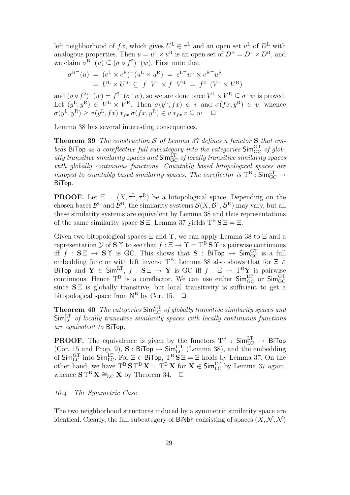left neighborhood of  $fx$ , which gives  $U^{\mathsf{L}} \in \tau^{\mathsf{L}}$  and an open set  $u^{\mathsf{L}}$  of  $D^{\mathsf{L}}$  with analogous properties. Then  $u = u^L \times u^R$  is an open set of  $D^B = D^L \times D^R$ , and we claim  $\sigma^{B^-}(u) \subseteq (\sigma \circ f^2)^-(w)$ . First note that

$$
\sigma^{B^-}(u) = (e^L \times e^R)^-(u^L \times u^R) = e^{L^-}u^L \times e^{R^-}u^R
$$
  
=  $U^L \times U^R \subseteq f^-V^L \times f^-V^R = f^{2-}(V^L \times V^R)$ 

and  $(\sigma \circ f^2)^{-1}(w) = f^{2-1}(\sigma^{-1}w)$ , so we are done once  $V^L \times V^R \subseteq \sigma^{-1}w$  is proved. Let  $(y^{\text{L}}, y^{\text{R}}) \in V^{\text{L}} \times V^{\text{R}}$ . Then  $\sigma(y^{\text{L}}, fx) \in v$  and  $\sigma(fx, y^{\text{R}}) \in v$ , whence  $\sigma(y^{\text{L}}, y^{\text{R}}) \ge \sigma(y^{\text{L}}, fx) *_{fx} \sigma(fx, y^{\text{R}}) \in v *_{fx} v \subseteq w. \quad \Box$ 

Lemma 38 has several interesting consequences.

**Theorem 39** The construction S of Lemma 37 defines a functor S that embeds BiTop as a coreflective full subcategory into the categories  $\mathsf{Sim}_{\mathrm{GC}}^{\mathrm{GT}}$  of globally transitive similarity spaces and  $\mathsf{Sim}_{\mathrm{GC}}^{\mathrm{LT}}$  of locally transitive similarity spaces with globally continuous functions. Countably based bitopological spaces are mapped to countably based similarity spaces. The coreflector is  $T^B$  :  $\mathsf{Sim}_{\mathrm{GC}}^{\mathrm{LT}}$   $\rightarrow$ BiTop.

**PROOF.** Let  $\Xi = (X, \tau^L, \tau^R)$  be a bitopological space. Depending on the chosen bases  $\mathcal{B}^L$  and  $\mathcal{B}^R$ , the similarity systems  $\mathcal{S}(X,\mathcal{B}^L,\mathcal{B}^R)$  may vary, but all these similarity systems are equivalent by Lemma 38 and thus representations of the same similarity space  $S \Xi$ . Lemma 37 yields  $T^B S \Xi = \Xi$ .

Given two bitopological spaces  $\Xi$  and  $\Upsilon$ , we can apply Lemma 38 to  $\Xi$  and a representation  $\mathcal Y$  of  $S \Upsilon$  to see that  $f : \Xi \to \Upsilon = T^B S \Upsilon$  is pairwise continuous iff  $f$  :  $S \Xi \rightarrow S \Upsilon$  is GC. This shows that  $S$  : BiTop  $\rightarrow$  Sim $_{\rm GC}^{\rm GT}$  is a full embedding functor with left inverse  $T^B$ . Lemma 38 also shows that for  $\Xi \in$ BiTop and  $Y \in Sim^{LT}$ ,  $f : SE \rightarrow Y$  is GC iff  $f : E \rightarrow T^B Y$  is pairwise continuous. Hence  $T^B$  is a coreflector. We can use either  $\mathsf{Sim}_{GC}^{\text{LT}}$  or  $\mathsf{Sim}_{GC}^{\text{GT}}$ since  $S \equiv$  is globally transitive, but local transitivity is sufficient to get a bitopological space from  $N^B$  by Cor. 15.  $\Box$ 

**Theorem 40** The categories  $\mathsf{Sim}_{\mathrm{LC}}^{\mathrm{GT}}$  of globally transitive similarity spaces and  $\mathsf{Sim}_{\mathrm{LC}}^{\mathrm{LT}}$  of locally transitive similarity spaces with locally continuous functions are equivalent to BiTop.

**PROOF.** The equivalence is given by the functors  $T^B$  :  $\mathsf{Sim}_{\mathrm{LC}}^{\mathrm{LT}} \rightarrow \mathsf{BiTop}$ (Cor. 15 and Prop. 9),  $S : \text{BiTop} \to \text{Sim}_{LC}^{GT}$  (Lemma 38), and the embedding of  $\mathsf{Sim}_{\mathsf{LC}}^{\mathsf{GT}}$  into  $\mathsf{Sim}_{\mathsf{LC}}^{\mathsf{LT}}$ . For  $\Xi \in \mathsf{BiTop}$ ,  $\mathrm{T}^{\mathsf{B}}\mathbf{S}\Xi = \Xi$  holds by Lemma 37. On the other hand, we have  $T^B S T^B X = T^B X$  for  $X \in Sim_{LC}^{LT}$  by Lemma 37 again, whence  $S T^B X \cong_{LC} X$  by Theorem 34.  $\Box$ 

# 10.4 The Symmetric Case

The two neighborhood structures induced by a symmetric similarity space are identical. Clearly, the full subcategory of BiNbh consisting of spaces  $(X, \mathcal{N}, \mathcal{N})$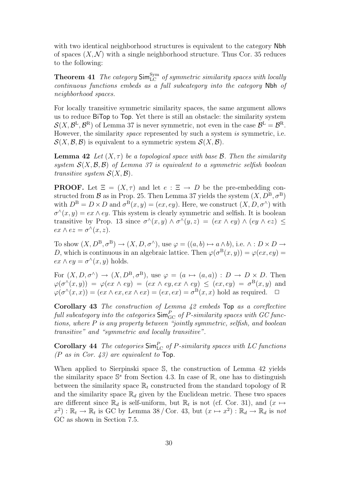with two identical neighborhood structures is equivalent to the category Nbh of spaces  $(X, \mathcal{N})$  with a single neighborhood structure. Thus Cor. 35 reduces to the following:

**Theorem 41** The category  $\text{Sim}_{\text{LC}}^{\text{Sym}}$  of symmetric similarity spaces with locally continuous functions embeds as a full subcategory into the category Nbh of neighborhood spaces.

For locally transitive symmetric similarity spaces, the same argument allows us to reduce BiTop to Top. Yet there is still an obstacle: the similarity system  $\mathcal{S}(X,\mathcal{B}^{\mathbb{L}},\mathcal{B}^{\mathbb{R}})$  of Lemma 37 is never symmetric, not even in the case  $\mathcal{B}^{\mathbb{L}}=\mathcal{B}^{\mathbb{R}}$ . However, the similarity *space* represented by such a system is symmetric, i.e.  $\mathcal{S}(X,\mathcal{B},\mathcal{B})$  is equivalent to a symmetric system  $\mathcal{S}(X,\mathcal{B})$ .

**Lemma 42** Let  $(X, \tau)$  be a topological space with base B. Then the similarity system  $\mathcal{S}(X,\mathcal{B},\mathcal{B})$  of Lemma 37 is equivalent to a symmetric selfish boolean transitive system  $\mathcal{S}(X,\mathcal{B})$ .

**PROOF.** Let  $\Xi = (X, \tau)$  and let  $e : \Xi \to D$  be the pre-embedding constructed from B as in Prop. 25. Then Lemma 37 yields the system  $(X, D^B, \sigma^B)$ with  $D^B = D \times D$  and  $\sigma^B(x, y) = (ex, ey)$ . Here, we construct  $(X, D, \sigma^{\wedge})$  with  $\sigma^{\wedge}(x, y) = e^{x} \wedge e^{y}$ . This system is clearly symmetric and selfish. It is boolean transitive by Prop. 13 since  $\sigma^{\wedge}(x, y) \wedge \sigma^{\wedge}(y, z) = (ex \wedge ey) \wedge (ey \wedge ez) \le$  $ex \wedge ez = \sigma^{\wedge}(x, z).$ 

To show  $(X, D^B, \sigma^B) \to (X, D, \sigma^A)$ , use  $\varphi = ((a, b) \mapsto a \wedge b)$ , i.e.  $\wedge : D \times D \to$ D, which is continuous in an algebraic lattice. Then  $\varphi(\sigma^B(x, y)) = \varphi(ex, ey) =$  $ex \wedge ey = \sigma^{\wedge}(x, y)$  holds.

For  $(X, D, \sigma^{\wedge}) \to (X, D^{\text{B}}, \sigma^{\text{B}})$ , use  $\varphi = (a \mapsto (a, a)) : D \to D \times D$ . Then  $\varphi(\sigma^{\wedge}(x,y)) = \varphi(ex \wedge ey) = (ex \wedge ey, ex \wedge ey) \leq (ex, ey) = \sigma^{B}(x,y)$  and  $\varphi(\sigma'(x,x)) = (ex \wedge ex, ex \wedge ex) = (ex, ex) = \sigma^{B}(x,x)$  hold as required.  $\Box$ 

Corollary 43 The construction of Lemma 42 embeds Top as a coreflective  $\emph{full subcategory into the categories $\mathsf{Sim}^P_{\rm GC}$ of $P$-similarity spaces with $GC$ func-}$ tions, where P is any property between "jointly symmetric, selfish, and boolean transitive" and "symmetric and locally transitive".

**Corollary 44** The categories  $\text{Sim}_{\text{LC}}^P$  of P-similarity spaces with LC functions  $(P \text{ as in } Cor. 43)$  are equivalent to Top.

When applied to Sierpinski space S, the construction of Lemma 42 yields the similarity space  $\mathbb{S}^s$  from Section 4.3. In case of  $\mathbb{R}$ , one has to distinguish between the similarity space  $\mathbb{R}_t$  constructed from the standard topology of  $\mathbb{R}$ and the similarity space  $\mathbb{R}_d$  given by the Euclidean metric. These two spaces are different since  $\mathbb{R}_d$  is self-uniform, but  $\mathbb{R}_t$  is not (cf. Cor. 31), and  $(x \mapsto$  $(x^2): \mathbb{R}_t \to \mathbb{R}_t$  is GC by Lemma 38 / Cor. 43, but  $(x \mapsto x^2): \mathbb{R}_d \to \mathbb{R}_d$  is not GC as shown in Section 7.5.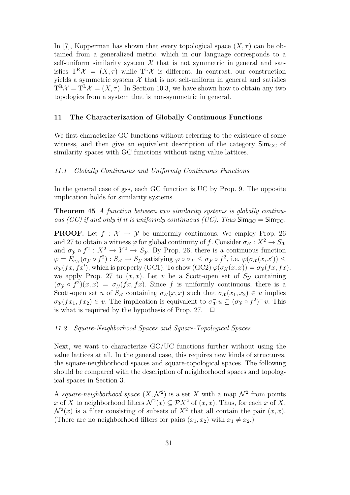In [7], Kopperman has shown that every topological space  $(X, \tau)$  can be obtained from a generalized metric, which in our language corresponds to a self-uniform similarity system  $X$  that is not symmetric in general and satisfies  $T^R \mathcal{X} = (X, \tau)$  while  $T^L \mathcal{X}$  is different. In contrast, our construction yields a symmetric system  $\mathcal X$  that is not self-uniform in general and satisfies  $T^{R} \mathcal{X} = T^{L} \mathcal{X} = (X, \tau)$ . In Section 10.3, we have shown how to obtain any two topologies from a system that is non-symmetric in general.

## 11 The Characterization of Globally Continuous Functions

We first characterize GC functions without referring to the existence of some witness, and then give an equivalent description of the category  $\mathsf{Sim}_{\mathrm{GC}}$  of similarity spaces with GC functions without using value lattices.

## 11.1 Globally Continuous and Uniformly Continuous Functions

In the general case of gss, each GC function is UC by Prop. 9. The opposite implication holds for similarity systems.

Theorem 45 A function between two similarity systems is globally continuous (GC) if and only if it is uniformly continuous (UC). Thus  $\mathsf{Sim}_{\mathsf{GC}} = \mathsf{Sim}_{\mathsf{UC}}$ .

**PROOF.** Let  $f : \mathcal{X} \to \mathcal{Y}$  be uniformly continuous. We employ Prop. 26 and 27 to obtain a witness  $\varphi$  for global continuity of f. Consider  $\sigma_{\mathcal{X}} : X^2 \to S_{\mathcal{X}}$ and  $\sigma_y \circ f^2 : X^2 \to Y^2 \to S_y$ . By Prop. 26, there is a continuous function  $\varphi = E_{\sigma_{\mathcal{X}}}(\sigma_{\mathcal{Y}} \circ f^2) : S_{\mathcal{X}} \to S_{\mathcal{Y}}$  satisfying  $\varphi \circ \sigma_{\mathcal{X}} \leq \sigma_{\mathcal{Y}} \circ f^2$ , i.e.  $\varphi(\sigma_{\mathcal{X}}(x, x')) \leq$  $\sigma_{\mathcal{Y}}(fx, fx')$ , which is property (GC1). To show (GC2)  $\varphi(\sigma_{\mathcal{X}}(x, x)) = \sigma_{\mathcal{Y}}(fx, fx)$ , we apply Prop. 27 to  $(x, x)$ . Let v be a Scott-open set of  $S<sub>y</sub>$  containing  $(\sigma_{\mathcal{Y}} \circ f^2)(x, x) = \sigma_{\mathcal{Y}}(fx, fx)$ . Since f is uniformly continuous, there is a Scott-open set u of  $S_{\mathcal{X}}$  containing  $\sigma_{\mathcal{X}}(x, x)$  such that  $\sigma_{\mathcal{X}}(x_1, x_2) \in u$  implies  $\sigma_{\mathcal{Y}}(fx_1, fx_2) \in v$ . The implication is equivalent to  $\sigma_{\mathcal{X}}^- u \subseteq (\sigma_{\mathcal{Y}} \circ f^2)^- v$ . This is what is required by the hypothesis of Prop. 27.  $\Box$ 

#### 11.2 Square-Neighborhood Spaces and Square-Topological Spaces

Next, we want to characterize GC/UC functions further without using the value lattices at all. In the general case, this requires new kinds of structures, the square-neighborhood spaces and square-topological spaces. The following should be compared with the description of neighborhood spaces and topological spaces in Section 3.

A square-neighborhood space  $(X, \mathcal{N}^2)$  is a set X with a map  $\mathcal{N}^2$  from points x of X to neighborhood filters  $\mathcal{N}^2(x) \subseteq \mathcal{P}X^2$  of  $(x, x)$ . Thus, for each x of X,  $\mathcal{N}^2(x)$  is a filter consisting of subsets of  $X^2$  that all contain the pair  $(x, x)$ . (There are no neighborhood filters for pairs  $(x_1, x_2)$  with  $x_1 \neq x_2$ .)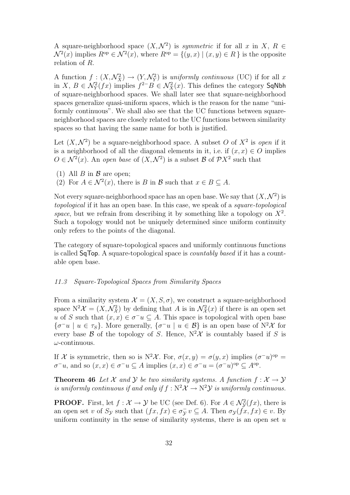A square-neighborhood space  $(X, \mathcal{N}^2)$  is symmetric if for all x in X,  $R \in$  $\mathcal{N}^2(x)$  implies  $R^{\rm op} \in \mathcal{N}^2(x)$ , where  $R^{\rm op} = \{(y, x) \mid (x, y) \in R\}$  is the opposite relation of R.

A function  $f: (X, \mathcal{N}_X^2) \to (Y, \mathcal{N}_Y^2)$  is uniformly continuous (UC) if for all x in X,  $B \in \mathcal{N}_Y^2(fx)$  implies  $f^{2-}B \in \mathcal{N}_X^2(x)$ . This defines the category SqNbh of square-neighborhood spaces. We shall later see that square-neighborhood spaces generalize quasi-uniform spaces, which is the reason for the name "uniformly continuous". We shall also see that the UC functions between squareneighborhood spaces are closely related to the UC functions between similarity spaces so that having the same name for both is justified.

Let  $(X, \mathcal{N}^2)$  be a square-neighborhood space. A subset O of  $X^2$  is open if it is a neighborhood of all the diagonal elements in it, i.e. if  $(x, x) \in O$  implies  $O \in \mathcal{N}^2(x)$ . An open base of  $(X, \mathcal{N}^2)$  is a subset  $\mathcal{B}$  of  $\mathcal{P}X^2$  such that

- (1) All  $B$  in  $\beta$  are open:
- (2) For  $A \in \mathcal{N}^2(x)$ , there is B in B such that  $x \in B \subseteq A$ .

Not every square-neighborhood space has an open base. We say that  $(X, \mathcal{N}^2)$  is topological if it has an open base. In this case, we speak of a square-topological space, but we refrain from describing it by something like a topology on  $X^2$ . Such a topology would not be uniquely determined since uniform continuity only refers to the points of the diagonal.

The category of square-topological spaces and uniformly continuous functions is called SqTop. A square-topological space is countably based if it has a countable open base.

## 11.3 Square-Topological Spaces from Similarity Spaces

From a similarity system  $\mathcal{X} = (X, S, \sigma)$ , we construct a square-neighborhood space  $N^2\mathcal{X} = (X, \mathcal{N}_{\mathcal{X}}^2)$  by defining that A is in  $\mathcal{N}_{\mathcal{X}}^2(x)$  if there is an open set u of S such that  $(x, x) \in \sigma^- u \subseteq A$ . This space is topological with open base  $\{\sigma^-u \mid u \in \tau_S\}$ . More generally,  $\{\sigma^-u \mid u \in \mathcal{B}\}$  is an open base of  $N^2\mathcal{X}$  for every base  $\beta$  of the topology of S. Hence,  $N^2\mathcal{X}$  is countably based if S is  $\omega$ -continuous.

If X is symmetric, then so is N<sup>2</sup>X. For,  $\sigma(x,y) = \sigma(y,x)$  implies  $(\sigma^{-}u)^{\text{op}} =$  $\sigma^-u$ , and so  $(x, x) \in \sigma^-u \subseteq A$  implies  $(x, x) \in \sigma^-u = (\sigma^-u)$ <sup>op</sup>  $\subseteq A$ <sup>op</sup>.

**Theorem 46** Let X and Y be two similarity systems. A function  $f: \mathcal{X} \to \mathcal{Y}$ is uniformly continuous if and only if  $f : \mathbb{N}^2 \mathcal{X} \to \mathbb{N}^2 \mathcal{Y}$  is uniformly continuous.

**PROOF.** First, let  $f : \mathcal{X} \to \mathcal{Y}$  be UC (see Def. 6). For  $A \in \mathcal{N}_{\mathcal{Y}}^2(fx)$ , there is an open set v of  $S_{\mathcal{Y}}$  such that  $(fx, fx) \in \sigma_{\mathcal{Y}}^{\neg} v \subseteq A$ . Then  $\sigma_{\mathcal{Y}}(f\dot{x}, fx) \in v$ . By uniform continuity in the sense of similarity systems, there is an open set  $u$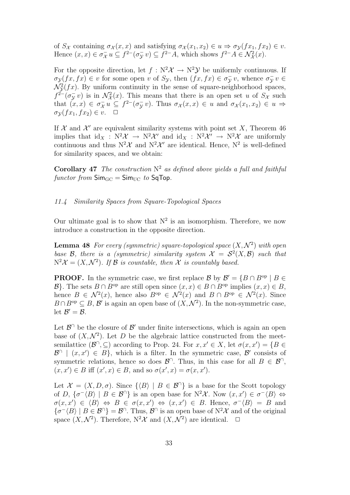of  $S_{\mathcal{X}}$  containing  $\sigma_{\mathcal{X}}(x, x)$  and satisfying  $\sigma_{\mathcal{X}}(x_1, x_2) \in u \Rightarrow \sigma_{\mathcal{Y}}(fx_1, fx_2) \in v$ . Hence  $(x, x) \in \sigma_X^- u \subseteq f^{2-}(\sigma_Y^- v) \subseteq f^{2-}A$ , which shows  $f^{2-}A \in \mathcal{N}_\mathcal{X}^2(x)$ .

For the opposite direction, let  $f : N^2 \mathcal{X} \to N^2 \mathcal{Y}$  be uniformly continuous. If  $\sigma_{\mathcal{Y}}(fx, fx) \in v$  for some open v of  $S_{\mathcal{Y}}$ , then  $(fx, fx) \in \sigma_{\mathcal{Y}}^{\perp} v$ , whence  $\sigma_{\mathcal{Y}}^{\perp} v \in$  $\mathcal{N}_{\mathcal{Y}}^2(fx)$ . By uniform continuity in the sense of square-neighborhood spaces,  $f^{\tilde{2}-}(\sigma_Y^- v)$  is in  $\mathcal{N}_x^2(x)$ . This means that there is an open set u of  $S_x$  such that  $(x, x) \in \sigma_X^- u \subseteq f^{2-}(\sigma_Y^- v)$ . Thus  $\sigma_X(x, x) \in u$  and  $\sigma_X(x_1, x_2) \in u \Rightarrow$  $\sigma_{\mathcal{V}}(fx_1, fx_2) \in v. \quad \Box$ 

If  $X$  and  $X'$  are equivalent similarity systems with point set X, Theorem 46 implies that  $\mathrm{id}_X$ :  $N^2\mathcal{X} \to N^2\mathcal{X}'$  and  $\mathrm{id}_X$ :  $N^2\mathcal{X}' \to N^2\mathcal{X}$  are uniformly continuous and thus  $N^2\mathcal{X}$  and  $N^2\mathcal{X}'$  are identical. Hence,  $N^2$  is well-defined for similarity spaces, and we obtain:

**Corollary 47** The construction  $N^2$  as defined above yields a full and faithful functor from  $\mathsf{Sim}_{\mathsf{GC}} = \mathsf{Sim}_{\mathsf{UC}}$  to  $\mathsf{SqTop}.$ 

## 11.4 Similarity Spaces from Square-Topological Spaces

Our ultimate goal is to show that  $N^2$  is an isomorphism. Therefore, we now introduce a construction in the opposite direction.

**Lemma 48** For every (symmetric) square-topological space  $(X, \mathcal{N}^2)$  with open base B, there is a (symmetric) similarity system  $\mathcal{X} = \mathcal{S}^2(X, \mathcal{B})$  such that  $N^2\mathcal{X} = (X, \mathcal{N}^2)$ . If  $\mathcal B$  is countable, then  $\mathcal X$  is countably based.

**PROOF.** In the symmetric case, we first replace  $\mathcal{B}$  by  $\mathcal{B}' = \{B \cap B^{\text{op}} \mid B \in$  $\mathcal{B}$ . The sets  $B \cap B^{\text{op}}$  are still open since  $(x, x) \in B \cap B^{\text{op}}$  implies  $(x, x) \in B$ , hence  $B \in \mathcal{N}^2(x)$ , hence also  $B^{\rm op} \in \mathcal{N}^2(x)$  and  $B \cap B^{\rm op} \in \mathcal{N}^2(x)$ . Since  $B \cap B^{\text{op}} \subseteq B$ , B' is again an open base of  $(X, \mathcal{N}^2)$ . In the non-symmetric case, let  $\mathcal{B}'=\mathcal{B}$ .

Let  $\mathcal{B}^{\cap}$  be the closure of  $\mathcal{B}'$  under finite intersections, which is again an open base of  $(X, \mathcal{N}^2)$ . Let D be the algebraic lattice constructed from the meetsemilattice  $(\mathcal{B}^{\cap}, \subseteq)$  according to Prop. 24. For  $x, x' \in X$ , let  $\sigma(x, x') = \{B \in$  $\mathcal{B}^{\cap}$   $(x, x') \in B$ , which is a filter. In the symmetric case,  $\mathcal{B}'$  consists of symmetric relations, hence so does  $\mathcal{B}^{\cap}$ . Thus, in this case for all  $B \in \mathcal{B}^{\cap}$ ,  $(x, x') \in B$  iff  $(x', x) \in B$ , and so  $\sigma(x', x) = \sigma(x, x')$ .

Let  $\mathcal{X} = (X, D, \sigma)$ . Since  $\{B \mid B \in \mathcal{B}^{\cap}\}\$ is a base for the Scott topology of D,  $\{\sigma^{-}\langle B\rangle \mid B \in \mathcal{B}^{\cap}\}\$ is an open base for N<sup>2</sup>X. Now  $(x, x') \in \sigma^{-}\langle B\rangle \Leftrightarrow$  $\sigma(x,x') \in \langle B \rangle \Leftrightarrow B \in \sigma(x,x') \Leftrightarrow (x,x') \in B$ . Hence,  $\sigma^{-}\langle B \rangle = B$  and  $\{\sigma^{-}\langle B\rangle \mid B \in \mathcal{B}^{\cap}\}\ = \mathcal{B}^{\cap}$ . Thus,  $\mathcal{B}^{\cap}$  is an open base of  $N^{2}\mathcal{X}$  and of the original space  $(X, \mathcal{N}^2)$ . Therefore,  $N^2\mathcal{X}$  and  $(X, \mathcal{N}^2)$  are identical.  $\Box$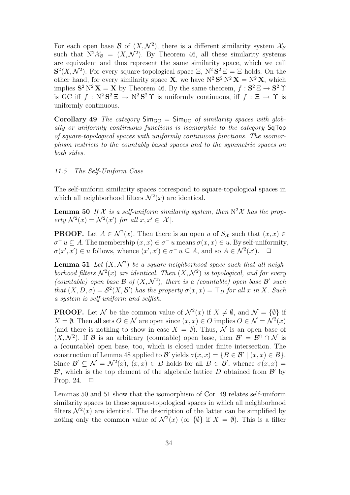For each open base  $\mathcal B$  of  $(X, \mathcal N^2)$ , there is a different similarity system  $\mathcal X_{\mathcal B}$ such that  $N^2 \mathcal{X}_{\mathcal{B}} = (X, \mathcal{N}^2)$ . By Theorem 46, all these similarity systems are equivalent and thus represent the same similarity space, which we call  $S<sup>2</sup>(X, \mathcal{N}<sup>2</sup>)$ . For every square-topological space  $\Xi$ ,  $N<sup>2</sup> S<sup>2</sup> \Xi = \Xi$  holds. On the other hand, for every similarity space **X**, we have  $N^2 S^2 N^2 X = N^2 X$ , which implies  $S^2 N^2 X = X$  by Theorem 46. By the same theorem,  $f : S^2 \Xi \to S^2 \Upsilon$ is GC iff  $f: \mathbb{N}^2 \mathbb{S}^2 \to \mathbb{N}^2 \mathbb{S}^2 \Upsilon$  is uniformly continuous, iff  $f: \Xi \to \Upsilon$  is uniformly continuous.

Corollary 49 The category  $\mathsf{Sim}_{\mathsf{GC}} = \mathsf{Sim}_{\mathsf{UC}}$  of similarity spaces with globally or uniformly continuous functions is isomorphic to the category SqTop of square-topological spaces with uniformly continuous functions. The isomorphism restricts to the countably based spaces and to the symmetric spaces on both sides.

## 11.5 The Self-Uniform Case

The self-uniform similarity spaces correspond to square-topological spaces in which all neighborhood filters  $\mathcal{N}^2(x)$  are identical.

**Lemma 50** If X is a self-uniform similarity system, then  $N^2X$  has the property  $\mathcal{N}^2(x) = \mathcal{N}^2(x')$  for all  $x, x' \in |\mathcal{X}|$ .

**PROOF.** Let  $A \in \mathcal{N}^2(x)$ . Then there is an open u of  $S_{\mathcal{X}}$  such that  $(x, x) \in$  $\sigma^- u \subseteq A$ . The membership  $(x, x) \in \sigma^- u$  means  $\sigma(x, x) \in u$ . By self-uniformity,  $\sigma(x',x') \in u$  follows, whence  $(x',x') \in \sigma^- u \subseteq A$ , and so  $A \in \mathcal{N}^2(x')$ .  $\Box$ 

**Lemma 51** Let  $(X, \mathcal{N}^2)$  be a square-neighborhood space such that all neighborhood filters  $\mathcal{N}^2(x)$  are identical. Then  $(X,\mathcal{N}^2)$  is topological, and for every (countable) open base  $\mathcal B$  of  $(X, \mathcal N^2)$ , there is a (countable) open base  $\mathcal B'$  such that  $(X, D, \sigma) = S^2(X, \mathcal{B}')$  has the property  $\sigma(x, x) = \mathbb{T}_D$  for all x in X. Such a system is self-uniform and selfish.

**PROOF.** Let N be the common value of  $\mathcal{N}^2(x)$  if  $X \neq \emptyset$ , and  $\mathcal{N} = \{\emptyset\}$  if  $X = \emptyset$ . Then all sets  $O \in \mathcal{N}$  are open since  $(x, x) \in O$  implies  $O \in \mathcal{N} = \mathcal{N}^2(x)$ (and there is nothing to show in case  $X = \emptyset$ ). Thus, N is an open base of  $(X, \mathcal{N}^2)$ . If B is an arbitrary (countable) open base, then  $\mathcal{B}' = \mathcal{B}^{\cap} \cap \mathcal{N}$  is a (countable) open base, too, which is closed under finite intersection. The construction of Lemma 48 applied to B' yields  $\sigma(x, x) = \{B \in \mathcal{B}' \mid (x, x) \in B\}.$ Since  $\mathcal{B}' \subseteq \mathcal{N} = \mathcal{N}^2(x)$ ,  $(x, x) \in B$  holds for all  $B \in \mathcal{B}'$ , whence  $\sigma(x, x) =$  $\mathcal{B}'$ , which is the top element of the algebraic lattice D obtained from  $\mathcal{B}'$  by Prop. 24.  $\Box$ 

Lemmas 50 and 51 show that the isomorphism of Cor. 49 relates self-uniform similarity spaces to those square-topological spaces in which all neighborhood filters  $\mathcal{N}^2(x)$  are identical. The description of the latter can be simplified by noting only the common value of  $\mathcal{N}^2(x)$  (or  $\{\emptyset\}$  if  $X = \emptyset$ ). This is a filter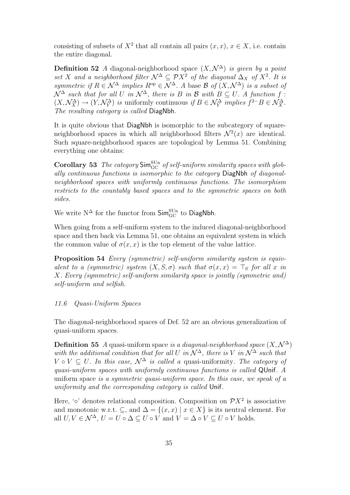consisting of subsets of  $X^2$  that all contain all pairs  $(x, x)$ ,  $x \in X$ , i.e. contain the entire diagonal.

**Definition 52** A diagonal-neighborhood space  $(X, \mathcal{N}^{\Delta})$  is given by a point set X and a neighborhood filter  $\mathcal{N}^{\Delta} \subseteq \mathcal{P}X^2$  of the diagonal  $\Delta_X$  of  $X^2$ . It is symmetric if  $R \in \mathcal{N}^{\Delta}$  implies  $R^{\rm op} \in \mathcal{N}^{\Delta}$ . A base  $\mathcal{B}$  of  $(X, \mathcal{N}^{\Delta})$  is a subset of  $\mathcal{N}^{\Delta}$  such that for all U in  $\mathcal{N}^{\Delta}$ , there is B in B with  $B \subseteq U$ . A function f:  $(X, \mathcal{N}_X^{\Delta}) \to (Y, \mathcal{N}_Y^{\Delta})$  is uniformly continuous if  $B \in \mathcal{N}_Y^{\Delta}$  implies  $f^{2-}B \in \mathcal{N}_X^{\Delta}$ . The resulting category is called DiagNbh.

It is quite obvious that DiagNbh is isomorphic to the subcategory of squareneighborhood spaces in which all neighborhood filters  $\mathcal{N}^2(x)$  are identical. Such square-neighborhood spaces are topological by Lemma 51. Combining everything one obtains:

Corollary 53 The category  $\mathsf{Sim}^{\rm{SUn}}_{\rm GC}$  of self-uniform similarity spaces with globally continuous functions is isomorphic to the category DiagNbh of diagonalneighborhood spaces with uniformly continuous functions. The isomorphism restricts to the countably based spaces and to the symmetric spaces on both sides.

We write  $N^{\Delta}$  for the functor from  $\mathsf{Sim}^{\rm SUn}_{\rm GC}$  to DiagNbh.

When going from a self-uniform system to the induced diagonal-neighborhood space and then back via Lemma 51, one obtains an equivalent system in which the common value of  $\sigma(x, x)$  is the top element of the value lattice.

Proposition 54 Every (symmetric) self-uniform similarity system is equivalent to a (symmetric) system  $(X, S, \sigma)$  such that  $\sigma(x, x) = \top_S$  for all x in X. Every (symmetric) self-uniform similarity space is jointly (symmetric and) self-uniform and selfish.

#### 11.6 Quasi-Uniform Spaces

The diagonal-neighborhood spaces of Def. 52 are an obvious generalization of quasi-uniform spaces.

**Definition 55** A quasi-uniform space is a diagonal-neighborhood space  $(X, \mathcal{N}^{\Delta})$ with the additional condition that for all U in  $N^{\Delta}$ , there is V in  $N^{\Delta}$  such that  $V \circ V \subseteq U$ . In this case,  $\mathcal{N}^{\Delta}$  is called a quasi-uniformity. The category of quasi-uniform spaces with uniformly continuous functions is called QUnif. A uniform space is a symmetric quasi-uniform space. In this case, we speak of a uniformity and the corresponding category is called Unif.

Here, ' $\circ$ ' denotes relational composition. Composition on  $\mathcal{P}X^2$  is associative and monotonic w.r.t. ⊂, and  $\Delta = \{(x, x) | x \in X\}$  is its neutral element. For all  $U, V \in \mathcal{N}^{\Delta}, U = U \circ \Delta \subseteq U \circ V$  and  $V = \Delta \circ V \subseteq U \circ V$  holds.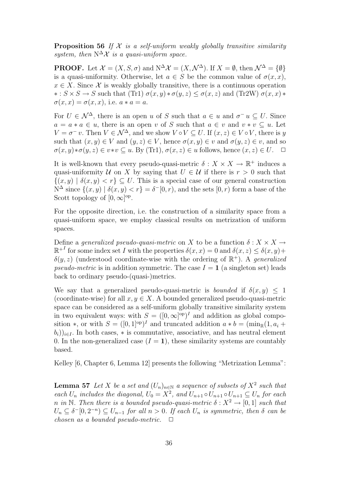**Proposition 56** If  $X$  is a self-uniform weakly globally transitive similarity system, then  $N^{\Delta} \mathcal{X}$  is a quasi-uniform space.

**PROOF.** Let  $\mathcal{X} = (X, S, \sigma)$  and  $N^{\Delta} \mathcal{X} = (X, \mathcal{N}^{\Delta})$ . If  $X = \emptyset$ , then  $\mathcal{N}^{\Delta} = \{\emptyset\}$ is a quasi-uniformity. Otherwise, let  $a \in S$  be the common value of  $\sigma(x, x)$ ,  $x \in X$ . Since X is weakly globally transitive, there is a continuous operation  $* : S \times S \to S$  such that (Tr1)  $\sigma(x, y) * \sigma(y, z) \leq \sigma(x, z)$  and (Tr2W)  $\sigma(x, x) *$  $\sigma(x, x) = \sigma(x, x)$ , i.e.  $a * a = a$ .

For  $U \in \mathcal{N}^{\Delta}$ , there is an open u of S such that  $a \in u$  and  $\sigma^{-} u \subseteq U$ . Since  $a = a * a \in u$ , there is an open v of S such that  $a \in v$  and  $v * v \subseteq u$ . Let  $V = \sigma^- v$ . Then  $V \in \mathcal{N}^{\Delta}$ , and we show  $V \circ V \subseteq U$ . If  $(x, z) \in V \circ V$ , there is y such that  $(x, y) \in V$  and  $(y, z) \in V$ , hence  $\sigma(x, y) \in v$  and  $\sigma(y, z) \in v$ , and so  $\sigma(x, y) * \sigma(y, z) \in v * v \subseteq u$ . By (Tr1),  $\sigma(x, z) \in u$  follows, hence  $(x, z) \in U$ .  $\Box$ 

It is well-known that every pseudo-quasi-metric  $\delta: X \times X \to \mathbb{R}^+$  induces a quasi-uniformity U on X by saying that  $U \in U$  if there is  $r > 0$  such that  $\{(x, y) | \delta(x, y) < r\} \subseteq U$ . This is a special case of our general construction  $N^{\Delta}$  since  $\{(x, y) | \delta(x, y) < r\} = \delta^{-}[0, r)$ , and the sets  $[0, r)$  form a base of the Scott topology of  $[0, \infty]^\text{op}$ .

For the opposite direction, i.e. the construction of a similarity space from a quasi-uniform space, we employ classical results on metrization of uniform spaces.

Define a generalized pseudo-quasi-metric on X to be a function  $\delta: X \times X \rightarrow$  $\mathbb{R}^{+I}$  for some index set I with the properties  $\delta(x, x) = 0$  and  $\delta(x, z) \leq \delta(x, y) +$  $\delta(y, z)$  (understood coordinate-wise with the ordering of  $\mathbb{R}^+$ ). A generalized pseudo-metric is in addition symmetric. The case  $I = 1$  (a singleton set) leads back to ordinary pseudo-(quasi-)metrics.

We say that a generalized pseudo-quasi-metric is *bounded* if  $\delta(x, y) \leq 1$ (coordinate-wise) for all  $x, y \in X$ . A bounded generalized pseudo-quasi-metric space can be considered as a self-uniform globally transitive similarity system in two equivalent ways: with  $S = ([0,\infty]^{op})^I$  and addition as global composition \*, or with  $S = ([0, 1]^{op})^I$  and truncated addition  $a * b = (\min_{\mathbb{R}} (1, a_i +$  $(b_i)_{i\in I}$ . In both cases,  $*$  is commutative, associative, and has neutral element 0. In the non-generalized case  $(I = 1)$ , these similarity systems are countably based.

Kelley [6, Chapter 6, Lemma 12] presents the following "Metrization Lemma":

**Lemma 57** Let X be a set and  $(U_n)_{n \in \mathbb{N}}$  a sequence of subsets of  $X^2$  such that each  $U_n$  includes the diagonal,  $U_0 = X^2$ , and  $U_{n+1} \circ U_{n+1} \circ U_{n+1} \subseteq U_n$  for each n in N. Then there is a bounded pseudo-quasi-metric  $\delta: X^2 \to [0,1]$  such that  $U_n \subseteq \delta^{-}[0, 2^{-n}) \subseteq U_{n-1}$  for all  $n > 0$ . If each  $U_n$  is symmetric, then  $\delta$  can be chosen as a bounded pseudo-metric.  $\Box$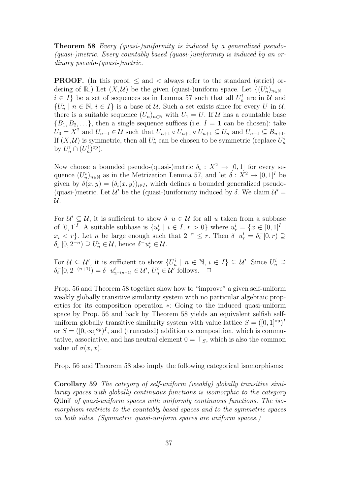Theorem 58 Every (quasi-)uniformity is induced by a generalized pseudo- (quasi-)metric. Every countably based (quasi-)uniformity is induced by an ordinary pseudo-(quasi-)metric.

**PROOF.** (In this proof,  $\leq$  and  $\leq$  always refer to the standard (strict) ordering of  $\mathbb{R}$ .) Let  $(X, \mathcal{U})$  be the given (quasi-)uniform space. Let  $\{(U_n^i)_{n\in\mathbb{N}}\mid$  $i \in I$  be a set of sequences as in Lemma 57 such that all  $U_n^i$  are in  $\mathcal U$  and  $\{U_n^i \mid n \in \mathbb{N}, i \in I\}$  is a base of U. Such a set exists since for every U in U, there is a suitable sequence  $(U_n)_{n\in\mathbb{N}}$  with  $U_1 = U$ . If  $\mathcal U$  has a countable base  ${B_1, B_2, \ldots}$ , then a single sequence suffices (i.e.  $I = 1$  can be chosen): take  $U_0 = X^2$  and  $U_{n+1} \in \mathcal{U}$  such that  $U_{n+1} \circ U_{n+1} \circ U_{n+1} \subseteq U_n$  and  $U_{n+1} \subseteq B_{n+1}$ . If  $(X, \mathcal{U})$  is symmetric, then all  $U_n^i$  can be chosen to be symmetric (replace  $U_n^i$ by  $U_n^i \cap (U_n^i)^{\text{op}}$ .

Now choose a bounded pseudo-(quasi-)metric  $\delta_i: X^2 \to [0,1]$  for every sequence  $(U_n^i)_{n \in \mathbb{N}}$  as in the Metrization Lemma 57, and let  $\delta: X^2 \to [0,1]^I$  be given by  $\delta(x, y) = (\delta_i(x, y))_{i \in I}$ , which defines a bounded generalized pseudo-(quasi-)metric. Let  $\mathcal{U}'$  be the (quasi-)uniformity induced by  $\delta$ . We claim  $\mathcal{U}'$  = U.

For  $\mathcal{U}' \subseteq \mathcal{U}$ , it is sufficient to show  $\delta^- u \in \mathcal{U}$  for all u taken from a subbase of  $[0,1]^I$ . A suitable subbase is  $\{u_r^i \mid i \in I, r > 0\}$  where  $u_r^i = \{x \in [0,1]^I \mid$  $x_i < r$ . Let *n* be large enough such that  $2^{-n} \leq r$ . Then  $\delta^- u_r^i = \delta_i^-[0, r) \supseteq$  $\delta_i^{-}[0, 2^{-n}) \supseteq U_n^i \in \mathcal{U}$ , hence  $\delta^{-}u_r^i \in \mathcal{U}$ .

For  $\mathcal{U} \subseteq \mathcal{U}'$ , it is sufficient to show  $\{U_n^i \mid n \in \mathbb{N}, i \in I\} \subseteq \mathcal{U}'$ . Since  $U_n^i \supseteq$  $\delta_i^{-}[0, 2^{-(n+1)}) = \delta^{-}u_{2^{-(n+1)}}^{i} \in \mathcal{U}', U_n^{i} \in \mathcal{U}'$  follows.  $\Box$ 

Prop. 56 and Theorem 58 together show how to "improve" a given self-uniform weakly globally transitive similarity system with no particular algebraic properties for its composition operation ∗: Going to the induced quasi-uniform space by Prop. 56 and back by Theorem 58 yields an equivalent selfish selfuniform globally transitive similarity system with value lattice  $S = ([0, 1]^{op})^D$ or  $S = ([0, \infty]^{op})^I$ , and (truncated) addition as composition, which is commutative, associative, and has neutral element  $0 = \mathcal{T}_S$ , which is also the common value of  $\sigma(x, x)$ .

Prop. 56 and Theorem 58 also imply the following categorical isomorphisms:

Corollary 59 The category of self-uniform (weakly) globally transitive similarity spaces with globally continuous functions is isomorphic to the category QUnif of quasi-uniform spaces with uniformly continuous functions. The isomorphism restricts to the countably based spaces and to the symmetric spaces on both sides. (Symmetric quasi-uniform spaces are uniform spaces.)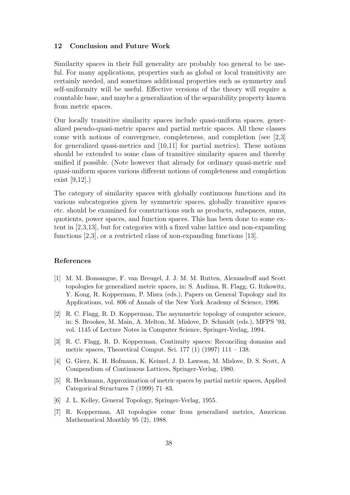#### 12 Conclusion and Future Work

Similarity spaces in their full generality are probably too general to be useful. For many applications, properties such as global or local transitivity are certainly needed, and sometimes additional properties such as symmetry and self-uniformity will be useful. Effective versions of the theory will require a countable base, and maybe a generalization of the separability property known from metric spaces.

Our locally transitive similarity spaces include quasi-uniform spaces, generalized pseudo-quasi-metric spaces and partial metric spaces. All these classes come with notions of convergence, completeness, and completion (see [2,3] for generalized quasi-metrics and [10,11] for partial metrics). These notions should be extended to some class of transitive similarity spaces and thereby unified if possible. (Note however that already for ordinary quasi-metric and quasi-uniform spaces various different notions of completeness and completion exist [9,12].)

The category of similarity spaces with globally continuous functions and its various subcategories given by symmetric spaces, globally transitive spaces etc. should be examined for constructions such as products, subspaces, sums, quotients, power spaces, and function spaces. This has been done to some extent in [2,3,13], but for categories with a fixed value lattice and non-expanding functions [2,3], or a restricted class of non-expanding functions [13].

## References

- [1] M. M. Bonsangue, F. van Breugel, J. J. M. M. Rutten, Alexandroff and Scott topologies for generalized metric spaces, in: S. Andima, R. Flagg, G. Itzkowitz, Y. Kong, R. Kopperman, P. Misra (eds.), Papers on General Topology and its Applications, vol. 806 of Annals of the New York Academy of Science, 1996.
- [2] R. C. Flagg, R. D. Kopperman, The asymmetric topology of computer science, in: S. Brookes, M. Main, A. Melton, M. Mislove, D. Schmidt (eds.), MFPS '93, vol. 1145 of Lecture Notes in Computer Science, Springer-Verlag, 1994.
- [3] R. C. Flagg, R. D. Kopperman, Continuity spaces: Reconciling domains and metric spaces, Theoretical Comput. Sci. 177 (1) (1997) 111 – 138.
- [4] G. Gierz, K. H. Hofmann, K. Keimel, J. D. Lawson, M. Mislove, D. S. Scott, A Compendium of Continuous Lattices, Springer-Verlag, 1980.
- [5] R. Heckmann, Approximation of metric spaces by partial metric spaces, Applied Categorical Structures 7 (1999) 71–83.
- [6] J. L. Kelley, General Topology, Springer-Verlag, 1955.
- [7] R. Kopperman, All topologies come from generalized metrics, American Mathematical Monthly 95 (2), 1988.